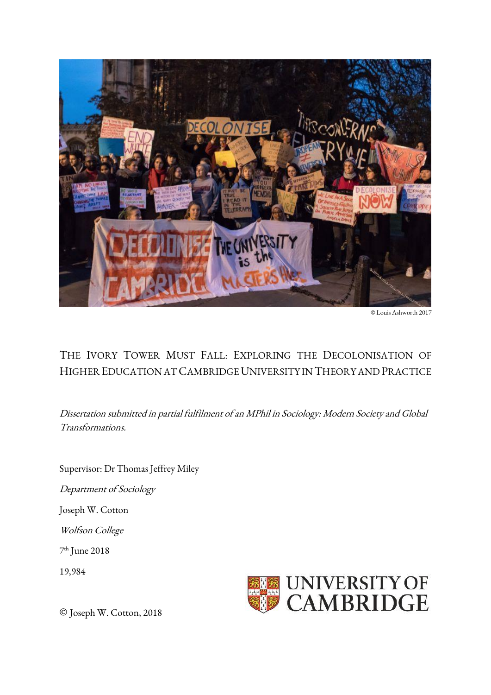

© Louis Ashworth 2017

# THE IVORY TOWER MUST FALL: EXPLORING THE DECOLONISATION OF HIGHER EDUCATION AT CAMBRIDGE UNIVERSITY IN THEORY AND PRACTICE

Dissertation submitted in partial fulfilment of an MPhil in Sociology: Modern Society and Global Transformations.

Supervisor: Dr Thomas Jeffrey Miley

Department of Sociology

Joseph W. Cotton

Wolfson College

7 th June 2018

19,984



© Joseph W. Cotton, 2018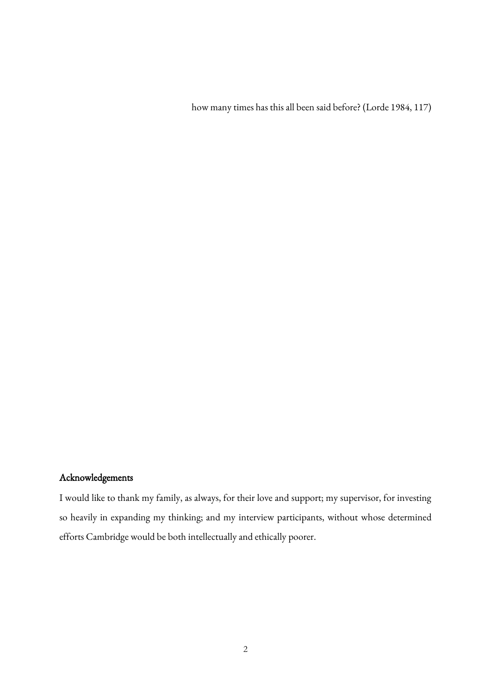how many times has this all been said before? (Lorde 1984, 117)

# Acknowledgements

I would like to thank my family, as always, for their love and support; my supervisor, for investing so heavily in expanding my thinking; and my interview participants, without whose determined efforts Cambridge would be both intellectually and ethically poorer.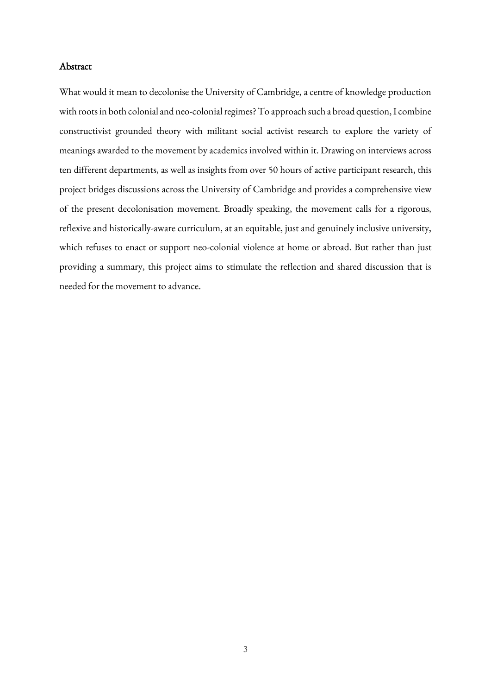## Abstract

What would it mean to decolonise the University of Cambridge, a centre of knowledge production with roots in both colonial and neo-colonial regimes? To approach such a broad question, I combine constructivist grounded theory with militant social activist research to explore the variety of meanings awarded to the movement by academics involved within it. Drawing on interviews across ten different departments, as well as insights from over 50 hours of active participant research, this project bridges discussions across the University of Cambridge and provides a comprehensive view of the present decolonisation movement. Broadly speaking, the movement calls for a rigorous, reflexive and historically-aware curriculum, at an equitable, just and genuinely inclusive university, which refuses to enact or support neo-colonial violence at home or abroad. But rather than just providing a summary, this project aims to stimulate the reflection and shared discussion that is needed for the movement to advance.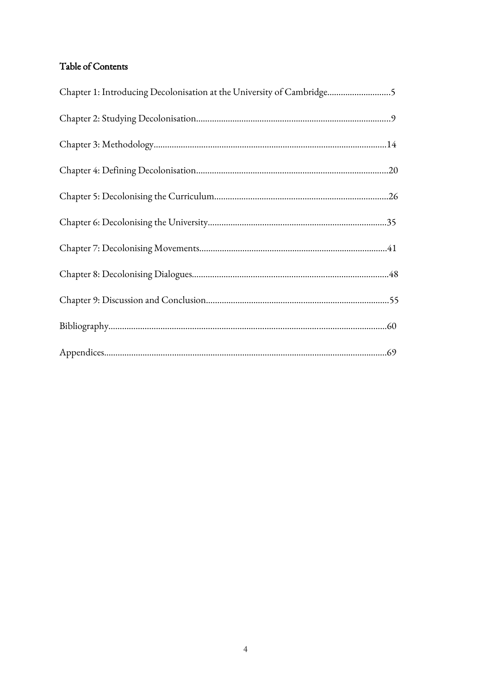# Table of Contents

| Chapter 1: Introducing Decolonisation at the University of Cambridge5 |  |
|-----------------------------------------------------------------------|--|
|                                                                       |  |
|                                                                       |  |
|                                                                       |  |
|                                                                       |  |
|                                                                       |  |
|                                                                       |  |
|                                                                       |  |
|                                                                       |  |
|                                                                       |  |
|                                                                       |  |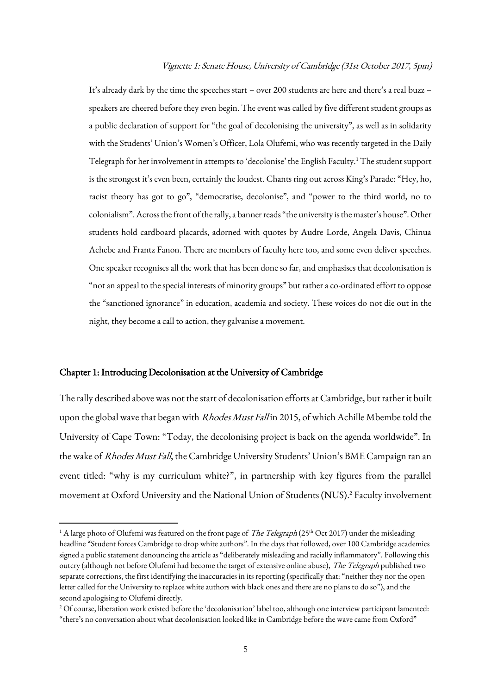#### Vignette 1: Senate House, University of Cambridge (31st October 2017, 5pm)

It's already dark by the time the speeches start – over 200 students are here and there's a real buzz – speakers are cheered before they even begin. The event was called by five different student groups as a public declaration of support for "the goal of decolonising the university", as well as in solidarity with the Students' Union's Women's Officer, Lola Olufemi, who was recently targeted in the Daily Telegraph for her involvement in attempts to 'decolonise' the English Faculty.<sup>1</sup> The student support is the strongest it's even been, certainly the loudest. Chants ring out across King's Parade: "Hey, ho, racist theory has got to go", "democratise, decolonise", and "power to the third world, no to colonialism". Across the front of the rally, a banner reads "the university is the master's house". Other students hold cardboard placards, adorned with quotes by Audre Lorde, Angela Davis, Chinua Achebe and Frantz Fanon. There are members of faculty here too, and some even deliver speeches. One speaker recognises all the work that has been done so far, and emphasises that decolonisation is "not an appeal to the special interests of minority groups" but rather a co-ordinated effort to oppose the "sanctioned ignorance" in education, academia and society. These voices do not die out in the night, they become a call to action, they galvanise a movement.

#### Chapter 1: Introducing Decolonisation at the University of Cambridge

 $\overline{\phantom{a}}$ 

The rally described above was not the start of decolonisation efforts at Cambridge, but rather it built upon the global wave that began with *Rhodes Must Fall* in 2015, of which Achille Mbembe told the University of Cape Town: "Today, the decolonising project is back on the agenda worldwide". In the wake of Rhodes Must Fall, the Cambridge University Students' Union's BME Campaign ran an event titled: "why is my curriculum white?", in partnership with key figures from the parallel movement at Oxford University and the National Union of Students (NUS). <sup>2</sup> Faculty involvement

<sup>&</sup>lt;sup>1</sup> A large photo of Olufemi was featured on the front page of *The Telegraph* (25<sup>th</sup> Oct 2017) under the misleading headline "Student forces Cambridge to drop white authors". In the days that followed, over 100 Cambridge academics signed a public statement denouncing the article as "deliberately misleading and racially inflammatory". Following this outcry (although not before Olufemi had become the target of extensive online abuse), The Telegraph published two separate corrections, the first identifying the inaccuracies in its reporting (specifically that: "neither they nor the open letter called for the University to replace white authors with black ones and there are no plans to do so"), and the second apologising to Olufemi directly.

<sup>&</sup>lt;sup>2</sup> Of course, liberation work existed before the 'decolonisation' label too, although one interview participant lamented: "there's no conversation about what decolonisation looked like in Cambridge before the wave came from Oxford"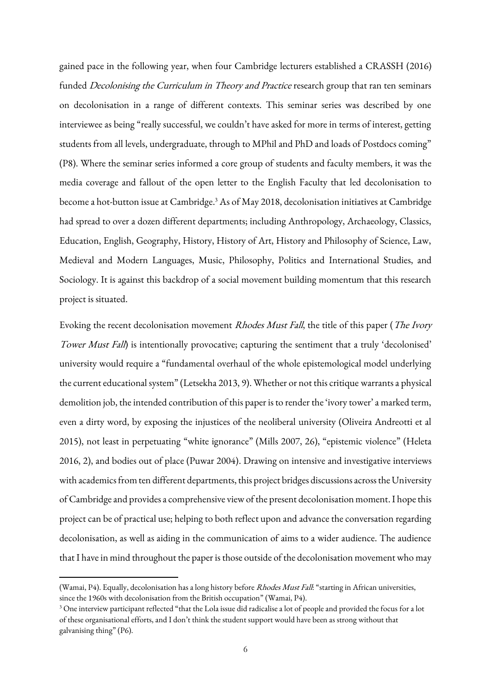gained pace in the following year, when four Cambridge lecturers established a CRASSH (2016) funded *Decolonising the Curriculum in Theory and Practice* research group that ran ten seminars on decolonisation in a range of different contexts. This seminar series was described by one interviewee as being "really successful, we couldn't have asked for more in terms of interest, getting students from all levels, undergraduate, through to MPhil and PhD and loads of Postdocs coming" (P8). Where the seminar series informed a core group of students and faculty members, it was the media coverage and fallout of the open letter to the English Faculty that led decolonisation to become a hot-button issue at Cambridge. <sup>3</sup> As of May 2018, decolonisation initiatives at Cambridge had spread to over a dozen different departments; including Anthropology, Archaeology, Classics, Education, English, Geography, History, History of Art, History and Philosophy of Science, Law, Medieval and Modern Languages, Music, Philosophy, Politics and International Studies, and Sociology. It is against this backdrop of a social movement building momentum that this research project is situated.

Evoking the recent decolonisation movement Rhodes Must Fall, the title of this paper (The Ivory Tower Must Fall) is intentionally provocative; capturing the sentiment that a truly 'decolonised' university would require a "fundamental overhaul of the whole epistemological model underlying the current educational system" (Letsekha 2013, 9). Whether or not this critique warrants a physical demolition job, the intended contribution of this paper is to render the 'ivory tower' a marked term, even a dirty word, by exposing the injustices of the neoliberal university (Oliveira Andreotti et al 2015), not least in perpetuating "white ignorance" (Mills 2007, 26), "epistemic violence" (Heleta 2016, 2), and bodies out of place (Puwar 2004). Drawing on intensive and investigative interviews with academics from ten different departments, this project bridges discussions across the University of Cambridge and provides a comprehensive view of the present decolonisation moment. I hope this project can be of practical use; helping to both reflect upon and advance the conversation regarding decolonisation, as well as aiding in the communication of aims to a wider audience. The audience that I have in mind throughout the paper is those outside of the decolonisation movement who may

 $\overline{\phantom{a}}$ 

<sup>(</sup>Wamai, P4). Equally, decolonisation has a long history before *Rhodes Must Fall*: "starting in African universities, since the 1960s with decolonisation from the British occupation" (Wamai, P4).

<sup>&</sup>lt;sup>3</sup> One interview participant reflected "that the Lola issue did radicalise a lot of people and provided the focus for a lot of these organisational efforts, and I don't think the student support would have been as strong without that galvanising thing" (P6).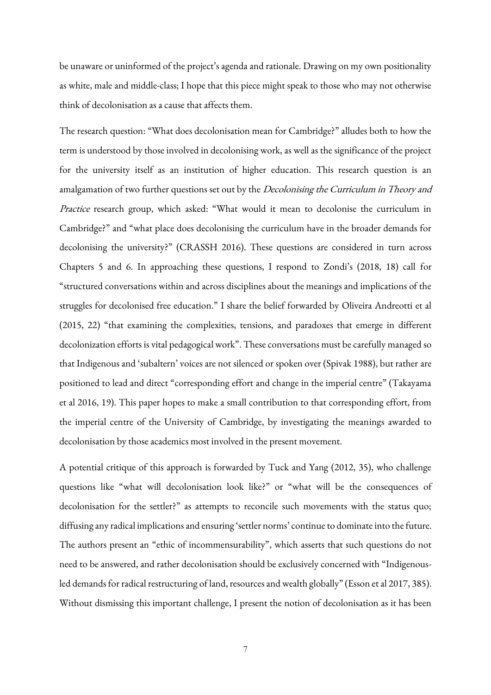be unaware or uninformed of the project's agenda and rationale. Drawing on my own positionality as white, male and middle-class; I hope that this piece might speak to those who may not otherwise think of decolonisation as a cause that affects them.

The research question: "What does decolonisation mean for Cambridge?" alludes both to how the term is understood by those involved in decolonising work, as well as the significance of the project for the university itself as an institution of higher education. This research question is an amalgamation of two further questions set out by the *Decolonising the Curriculum in Theory and* Practice research group, which asked: "What would it mean to decolonise the curriculum in Cambridge?" and "what place does decolonising the curriculum have in the broader demands for decolonising the university?" (CRASSH 2016). These questions are considered in turn across Chapters 5 and 6. In approaching these questions, I respond to Zondi's (2018, 18) call for "structured conversations within and across disciplines about the meanings and implications of the struggles for decolonised free education." I share the belief forwarded by Oliveira Andreotti et al (2015, 22) "that examining the complexities, tensions, and paradoxes that emerge in different decolonization efforts is vital pedagogical work". These conversations must be carefully managed so that Indigenous and 'subaltern' voices are not silenced or spoken over (Spivak 1988), but rather are positioned to lead and direct "corresponding effort and change in the imperial centre" (Takayama et al 2016, 19). This paper hopes to make a small contribution to that corresponding effort, from the imperial centre of the University of Cambridge, by investigating the meanings awarded to decolonisation by those academics most involved in the present movement.

A potential critique of this approach is forwarded by Tuck and Yang (2012, 35), who challenge questions like "what will decolonisation look like?" or "what will be the consequences of decolonisation for the settler?" as attempts to reconcile such movements with the status quo; diffusing any radical implications and ensuring 'settler norms' continue to dominate into the future. The authors present an "ethic of incommensurability", which asserts that such questions do not need to be answered, and rather decolonisation should be exclusively concerned with "Indigenousled demands for radical restructuring of land, resources and wealth globally" (Esson et al 2017, 385). Without dismissing this important challenge, I present the notion of decolonisation as it has been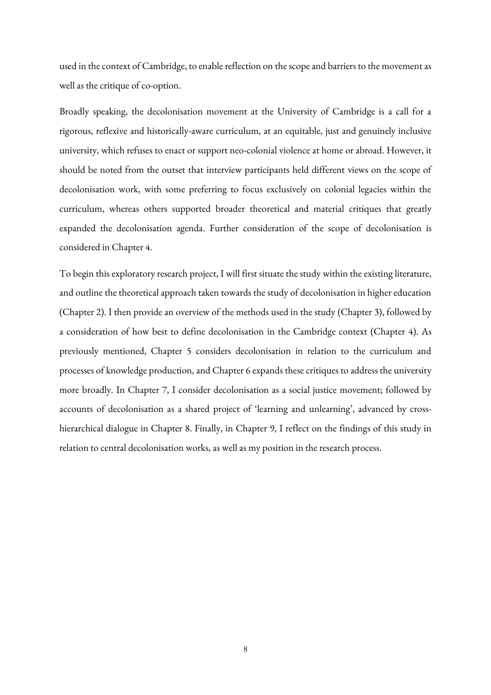used in the context of Cambridge, to enable reflection on the scope and barriers to the movement as well as the critique of co-option.

Broadly speaking, the decolonisation movement at the University of Cambridge is a call for a rigorous, reflexive and historically-aware curriculum, at an equitable, just and genuinely inclusive university, which refuses to enact or support neo-colonial violence at home or abroad. However, it should be noted from the outset that interview participants held different views on the scope of decolonisation work, with some preferring to focus exclusively on colonial legacies within the curriculum, whereas others supported broader theoretical and material critiques that greatly expanded the decolonisation agenda. Further consideration of the scope of decolonisation is considered in Chapter 4.

To begin this exploratory research project, I will first situate the study within the existing literature, and outline the theoretical approach taken towards the study of decolonisation in higher education (Chapter 2). I then provide an overview of the methods used in the study (Chapter 3), followed by a consideration of how best to define decolonisation in the Cambridge context (Chapter 4). As previously mentioned, Chapter 5 considers decolonisation in relation to the curriculum and processes of knowledge production, and Chapter 6 expands these critiques to address the university more broadly. In Chapter 7, I consider decolonisation as a social justice movement; followed by accounts of decolonisation as a shared project of 'learning and unlearning', advanced by crosshierarchical dialogue in Chapter 8. Finally, in Chapter 9, I reflect on the findings of this study in relation to central decolonisation works, as well as my position in the research process.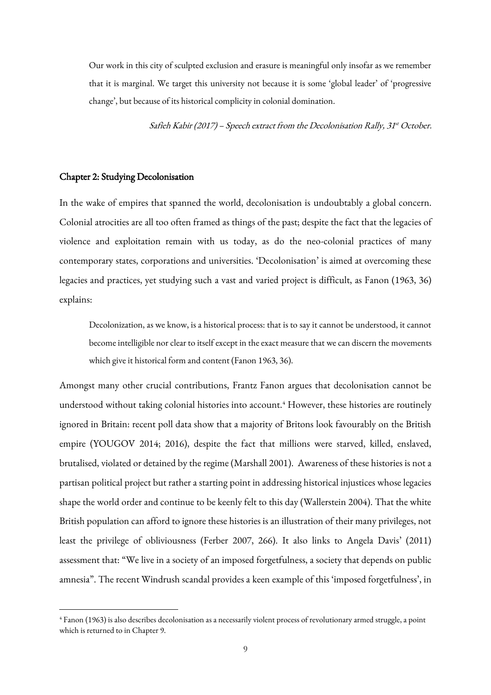Our work in this city of sculpted exclusion and erasure is meaningful only insofar as we remember that it is marginal. We target this university not because it is some 'global leader' of 'progressive change', but because of its historical complicity in colonial domination.

Safieh Kabir (2017) – Speech extract from the Decolonisation Rally, 31st October.

#### Chapter 2: Studying Decolonisation

**.** 

In the wake of empires that spanned the world, decolonisation is undoubtably a global concern. Colonial atrocities are all too often framed as things of the past; despite the fact that the legacies of violence and exploitation remain with us today, as do the neo-colonial practices of many contemporary states, corporations and universities. 'Decolonisation' is aimed at overcoming these legacies and practices, yet studying such a vast and varied project is difficult, as Fanon (1963, 36) explains:

Decolonization, as we know, is a historical process: that is to say it cannot be understood, it cannot become intelligible nor clear to itself except in the exact measure that we can discern the movements which give it historical form and content (Fanon 1963, 36).

Amongst many other crucial contributions, Frantz Fanon argues that decolonisation cannot be understood without taking colonial histories into account.<sup>4</sup> However, these histories are routinely ignored in Britain: recent poll data show that a majority of Britons look favourably on the British empire (YOUGOV 2014; 2016), despite the fact that millions were starved, killed, enslaved, brutalised, violated or detained by the regime (Marshall 2001). Awareness of these histories is not a partisan political project but rather a starting point in addressing historical injustices whose legacies shape the world order and continue to be keenly felt to this day (Wallerstein 2004). That the white British population can afford to ignore these histories is an illustration of their many privileges, not least the privilege of obliviousness (Ferber 2007, 266). It also links to Angela Davis' (2011) assessment that: "We live in a society of an imposed forgetfulness, a society that depends on public amnesia". The recent Windrush scandal provides a keen example of this 'imposed forgetfulness', in

<sup>4</sup> Fanon (1963) is also describes decolonisation as a necessarily violent process of revolutionary armed struggle, a point which is returned to in Chapter 9.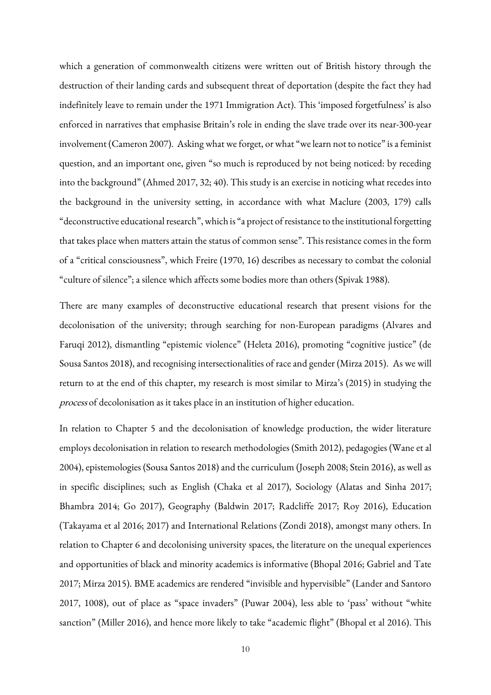which a generation of commonwealth citizens were written out of British history through the destruction of their landing cards and subsequent threat of deportation (despite the fact they had indefinitely leave to remain under the 1971 Immigration Act). This 'imposed forgetfulness' is also enforced in narratives that emphasise Britain's role in ending the slave trade over its near-300-year involvement (Cameron 2007). Asking what we forget, or what "we learn not to notice" is a feminist question, and an important one, given "so much is reproduced by not being noticed: by receding into the background" (Ahmed 2017, 32; 40). This study is an exercise in noticing what recedes into the background in the university setting, in accordance with what Maclure (2003, 179) calls "deconstructive educational research", which is "a project of resistance to the institutional forgetting that takes place when matters attain the status of common sense". This resistance comes in the form of a "critical consciousness", which Freire (1970, 16) describes as necessary to combat the colonial "culture of silence"; a silence which affects some bodies more than others (Spivak 1988).

There are many examples of deconstructive educational research that present visions for the decolonisation of the university; through searching for non-European paradigms (Alvares and Faruqi 2012), dismantling "epistemic violence" (Heleta 2016), promoting "cognitive justice" (de Sousa Santos 2018), and recognising intersectionalities of race and gender (Mirza 2015). As we will return to at the end of this chapter, my research is most similar to Mirza's (2015) in studying the process of decolonisation as it takes place in an institution of higher education.

In relation to Chapter 5 and the decolonisation of knowledge production, the wider literature employs decolonisation in relation to research methodologies (Smith 2012), pedagogies (Wane et al 2004), epistemologies (Sousa Santos 2018) and the curriculum (Joseph 2008; Stein 2016), as well as in specific disciplines; such as English (Chaka et al 2017), Sociology (Alatas and Sinha 2017; Bhambra 2014; Go 2017), Geography (Baldwin 2017; Radcliffe 2017; Roy 2016), Education (Takayama et al 2016; 2017) and International Relations (Zondi 2018), amongst many others. In relation to Chapter 6 and decolonising university spaces, the literature on the unequal experiences and opportunities of black and minority academics is informative (Bhopal 2016; Gabriel and Tate 2017; Mirza 2015). BME academics are rendered "invisible and hypervisible" (Lander and Santoro 2017, 1008), out of place as "space invaders" (Puwar 2004), less able to 'pass' without "white sanction" (Miller 2016), and hence more likely to take "academic flight" (Bhopal et al 2016). This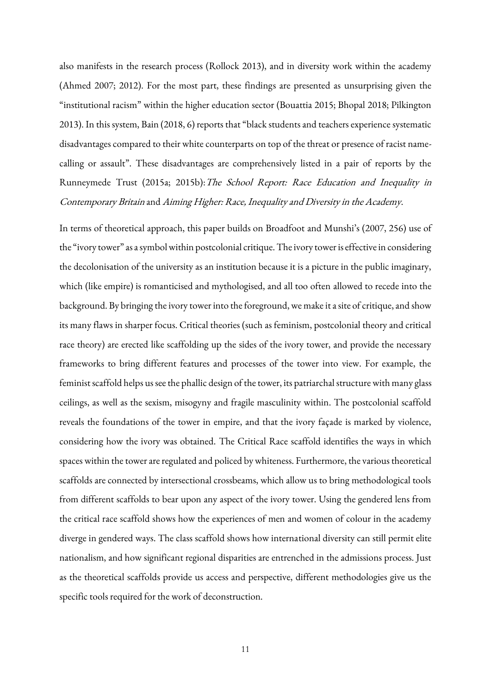also manifests in the research process (Rollock 2013), and in diversity work within the academy (Ahmed 2007; 2012). For the most part, these findings are presented as unsurprising given the "institutional racism" within the higher education sector (Bouattia 2015; Bhopal 2018; Pilkington 2013). In this system, Bain (2018, 6) reports that "black students and teachers experience systematic disadvantages compared to their white counterparts on top of the threat or presence of racist namecalling or assault". These disadvantages are comprehensively listed in a pair of reports by the Runneymede Trust (2015a; 2015b): The School Report: Race Education and Inequality in Contemporary Britain and Aiming Higher: Race, Inequality and Diversity in the Academy.

In terms of theoretical approach, this paper builds on Broadfoot and Munshi's (2007, 256) use of the "ivory tower" as a symbol within postcolonial critique. The ivory tower is effective in considering the decolonisation of the university as an institution because it is a picture in the public imaginary, which (like empire) is romanticised and mythologised, and all too often allowed to recede into the background. By bringing the ivory tower into the foreground, we make it a site of critique, and show its many flaws in sharper focus. Critical theories (such as feminism, postcolonial theory and critical race theory) are erected like scaffolding up the sides of the ivory tower, and provide the necessary frameworks to bring different features and processes of the tower into view. For example, the feminist scaffold helps us see the phallic design of the tower, its patriarchal structure with many glass ceilings, as well as the sexism, misogyny and fragile masculinity within. The postcolonial scaffold reveals the foundations of the tower in empire, and that the ivory façade is marked by violence, considering how the ivory was obtained. The Critical Race scaffold identifies the ways in which spaces within the tower are regulated and policed by whiteness. Furthermore, the various theoretical scaffolds are connected by intersectional crossbeams, which allow us to bring methodological tools from different scaffolds to bear upon any aspect of the ivory tower. Using the gendered lens from the critical race scaffold shows how the experiences of men and women of colour in the academy diverge in gendered ways. The class scaffold shows how international diversity can still permit elite nationalism, and how significant regional disparities are entrenched in the admissions process. Just as the theoretical scaffolds provide us access and perspective, different methodologies give us the specific tools required for the work of deconstruction.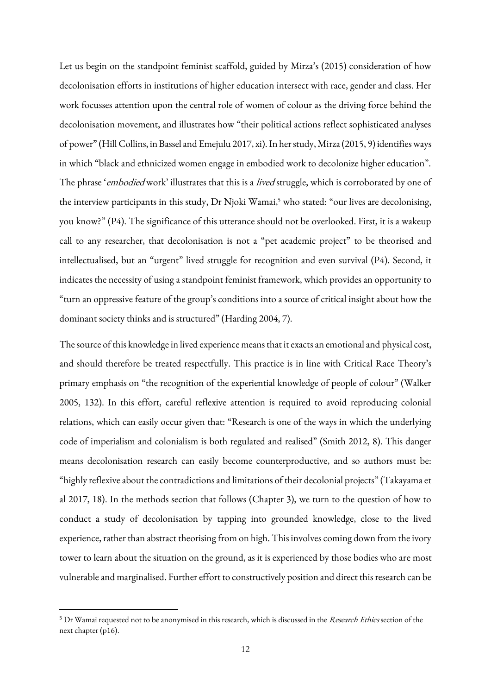Let us begin on the standpoint feminist scaffold, guided by Mirza's (2015) consideration of how decolonisation efforts in institutions of higher education intersect with race, gender and class. Her work focusses attention upon the central role of women of colour as the driving force behind the decolonisation movement, and illustrates how "their political actions reflect sophisticated analyses of power" (Hill Collins, in Bassel and Emejulu 2017, xi). In her study, Mirza (2015, 9) identifies ways in which "black and ethnicized women engage in embodied work to decolonize higher education". The phrase 'embodied work' illustrates that this is a *lived* struggle, which is corroborated by one of the interview participants in this study, Dr Njoki Wamai,<sup>5</sup> who stated: "our lives are decolonising, you know?" (P4). The significance of this utterance should not be overlooked. First, it is a wakeup call to any researcher, that decolonisation is not a "pet academic project" to be theorised and intellectualised, but an "urgent" lived struggle for recognition and even survival (P4). Second, it indicates the necessity of using a standpoint feminist framework, which provides an opportunity to "turn an oppressive feature of the group's conditions into a source of critical insight about how the dominant society thinks and is structured" (Harding 2004, 7).

The source of this knowledge in lived experience means that it exacts an emotional and physical cost, and should therefore be treated respectfully. This practice is in line with Critical Race Theory's primary emphasis on "the recognition of the experiential knowledge of people of colour" (Walker 2005, 132). In this effort, careful reflexive attention is required to avoid reproducing colonial relations, which can easily occur given that: "Research is one of the ways in which the underlying code of imperialism and colonialism is both regulated and realised" (Smith 2012, 8). This danger means decolonisation research can easily become counterproductive, and so authors must be: "highly reflexive about the contradictions and limitations of their decolonial projects" (Takayama et al 2017, 18). In the methods section that follows (Chapter 3), we turn to the question of how to conduct a study of decolonisation by tapping into grounded knowledge, close to the lived experience, rather than abstract theorising from on high. This involves coming down from the ivory tower to learn about the situation on the ground, as it is experienced by those bodies who are most vulnerable and marginalised. Further effort to constructively position and direct this research can be

**.** 

<sup>&</sup>lt;sup>5</sup> Dr Wamai requested not to be anonymised in this research, which is discussed in the Research Ethics section of the next chapter (p16).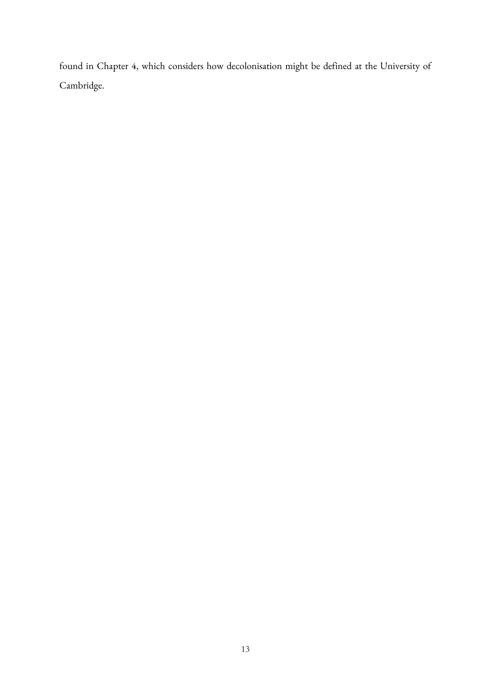found in Chapter 4, which considers how decolonisation might be defined at the University of Cambridge.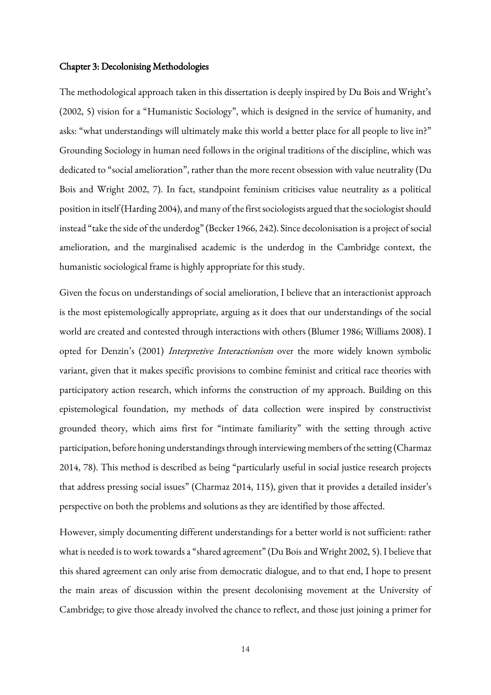#### Chapter 3: Decolonising Methodologies

The methodological approach taken in this dissertation is deeply inspired by Du Bois and Wright's (2002, 5) vision for a "Humanistic Sociology", which is designed in the service of humanity, and asks: "what understandings will ultimately make this world a better place for all people to live in?" Grounding Sociology in human need follows in the original traditions of the discipline, which was dedicated to "social amelioration", rather than the more recent obsession with value neutrality (Du Bois and Wright 2002, 7). In fact, standpoint feminism criticises value neutrality as a political position in itself (Harding 2004), and many of the first sociologists argued that the sociologist should instead "take the side of the underdog" (Becker 1966, 242). Since decolonisation is a project of social amelioration, and the marginalised academic is the underdog in the Cambridge context, the humanistic sociological frame is highly appropriate for this study.

Given the focus on understandings of social amelioration, I believe that an interactionist approach is the most epistemologically appropriate, arguing as it does that our understandings of the social world are created and contested through interactions with others (Blumer 1986; Williams 2008). I opted for Denzin's (2001) Interpretive Interactionism over the more widely known symbolic variant, given that it makes specific provisions to combine feminist and critical race theories with participatory action research, which informs the construction of my approach. Building on this epistemological foundation, my methods of data collection were inspired by constructivist grounded theory, which aims first for "intimate familiarity" with the setting through active participation, before honing understandings through interviewing members of the setting (Charmaz 2014, 78). This method is described as being "particularly useful in social justice research projects that address pressing social issues" (Charmaz 2014, 115), given that it provides a detailed insider's perspective on both the problems and solutions as they are identified by those affected.

However, simply documenting different understandings for a better world is not sufficient: rather what is needed is to work towards a "shared agreement" (Du Boisand Wright 2002, 5). I believe that this shared agreement can only arise from democratic dialogue, and to that end, I hope to present the main areas of discussion within the present decolonising movement at the University of Cambridge; to give those already involved the chance to reflect, and those just joining a primer for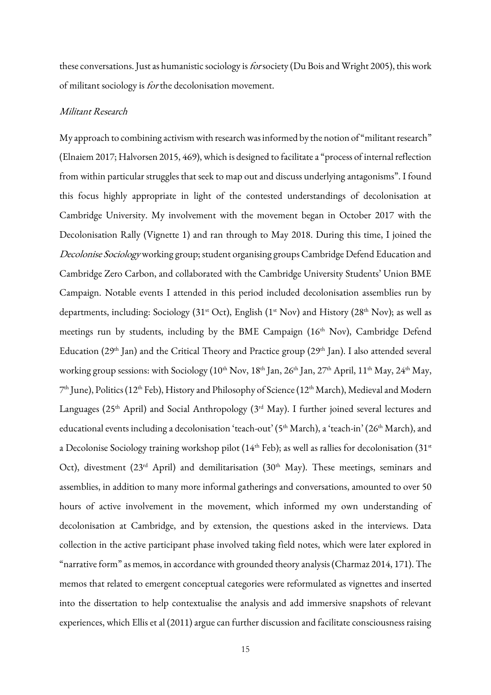these conversations. Just as humanistic sociology is *for* society (Du Bois and Wright 2005), this work of militant sociology is for the decolonisation movement.

## Militant Research

My approach to combining activism with research was informed by the notion of "militant research" (Elnaiem 2017; Halvorsen 2015, 469), which is designed to facilitate a "process of internal reflection from within particular struggles that seek to map out and discuss underlying antagonisms". I found this focus highly appropriate in light of the contested understandings of decolonisation at Cambridge University. My involvement with the movement began in October 2017 with the Decolonisation Rally (Vignette 1) and ran through to May 2018. During this time, I joined the Decolonise Sociology working group; student organising groups Cambridge Defend Education and Cambridge Zero Carbon, and collaborated with the Cambridge University Students' Union BME Campaign. Notable events I attended in this period included decolonisation assemblies run by departments, including: Sociology (31<sup>st</sup> Oct), English (1<sup>st</sup> Nov) and History (28<sup>th</sup> Nov); as well as meetings run by students, including by the BME Campaign (16<sup>th</sup> Nov), Cambridge Defend Education (29<sup>th</sup> Jan) and the Critical Theory and Practice group (29<sup>th</sup> Jan). I also attended several working group sessions: with Sociology (10<sup>th</sup> Nov, 18<sup>th</sup> Jan, 26<sup>th</sup> Jan, 27<sup>th</sup> April, 11<sup>th</sup> May, 24<sup>th</sup> May, 7 th June), Politics (12th Feb), History and Philosophy of Science (12th March), Medieval and Modern Languages ( $25<sup>th</sup>$  April) and Social Anthropology ( $3<sup>rd</sup>$  May). I further joined several lectures and educational events including a decolonisation 'teach-out' (5<sup>th</sup> March), a 'teach-in' (26<sup>th</sup> March), and a Decolonise Sociology training workshop pilot ( $14<sup>th</sup>$  Feb); as well as rallies for decolonisation ( $31<sup>st</sup>$ Oct), divestment (23<sup>rd</sup> April) and demilitarisation (30<sup>th</sup> May). These meetings, seminars and assemblies, in addition to many more informal gatherings and conversations, amounted to over 50 hours of active involvement in the movement, which informed my own understanding of decolonisation at Cambridge, and by extension, the questions asked in the interviews. Data collection in the active participant phase involved taking field notes, which were later explored in "narrative form" as memos, in accordance with grounded theory analysis (Charmaz 2014, 171). The memos that related to emergent conceptual categories were reformulated as vignettes and inserted into the dissertation to help contextualise the analysis and add immersive snapshots of relevant experiences, which Ellis et al (2011) argue can further discussion and facilitate consciousness raising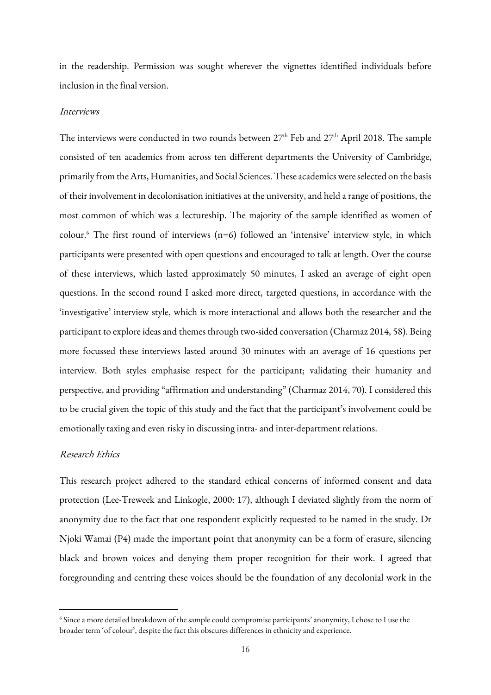in the readership. Permission was sought wherever the vignettes identified individuals before inclusion in the final version.

#### Interviews

The interviews were conducted in two rounds between 27<sup>th</sup> Feb and 27<sup>th</sup> April 2018. The sample consisted of ten academics from across ten different departments the University of Cambridge, primarily from the Arts, Humanities, and Social Sciences. These academics were selected on the basis of their involvement in decolonisation initiatives at the university, and held a range of positions, the most common of which was a lectureship. The majority of the sample identified as women of colour.<sup>6</sup> The first round of interviews (n=6) followed an 'intensive' interview style, in which participants were presented with open questions and encouraged to talk at length. Over the course of these interviews, which lasted approximately 50 minutes, I asked an average of eight open questions. In the second round I asked more direct, targeted questions, in accordance with the 'investigative' interview style, which is more interactional and allows both the researcher and the participant to explore ideas and themes through two-sided conversation (Charmaz 2014, 58). Being more focussed these interviews lasted around 30 minutes with an average of 16 questions per interview. Both styles emphasise respect for the participant; validating their humanity and perspective, and providing "affirmation and understanding" (Charmaz 2014, 70). I considered this to be crucial given the topic of this study and the fact that the participant's involvement could be emotionally taxing and even risky in discussing intra-and inter-department relations.

## Research Ethics

**.** 

This research project adhered to the standard ethical concerns of informed consent and data protection (Lee-Treweek and Linkogle, 2000: 17), although I deviated slightly from the norm of anonymity due to the fact that one respondent explicitly requested to be named in the study. Dr Njoki Wamai (P4) made the important point that anonymity can be a form of erasure, silencing black and brown voices and denying them proper recognition for their work. I agreed that foregrounding and centring these voices should be the foundation of any decolonial work in the

<sup>6</sup> Since a more detailed breakdown of the sample could compromise participants' anonymity, I chose to I use the broader term 'of colour', despite the fact this obscures differences in ethnicity and experience.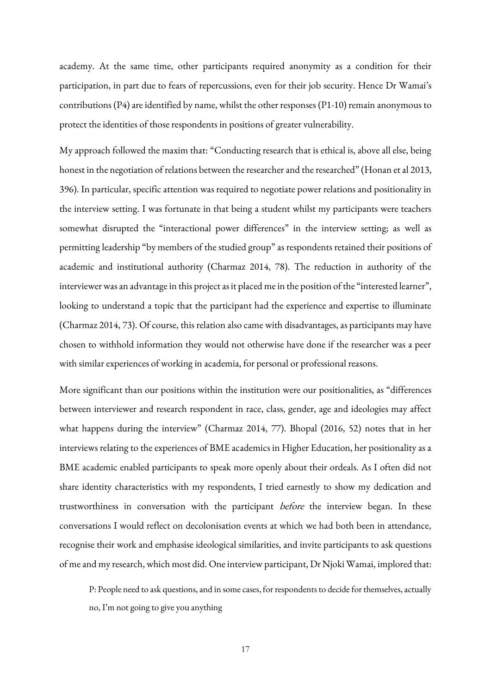academy. At the same time, other participants required anonymity as a condition for their participation, in part due to fears of repercussions, even for their job security. Hence Dr Wamai's contributions (P4) are identified by name, whilst the other responses (P1-10) remain anonymous to protect the identities of those respondents in positions of greater vulnerability.

My approach followed the maxim that: "Conducting research that is ethical is, above all else, being honest in the negotiation of relations between the researcher and the researched" (Honan et al 2013, 396). In particular, specific attention was required to negotiate power relations and positionality in the interview setting. I was fortunate in that being a student whilst my participants were teachers somewhat disrupted the "interactional power differences" in the interview setting; as well as permitting leadership "by members of the studied group" as respondents retained their positions of academic and institutional authority (Charmaz 2014, 78). The reduction in authority of the interviewer was an advantage in this project as it placed me in the position of the "interested learner", looking to understand a topic that the participant had the experience and expertise to illuminate (Charmaz 2014, 73). Of course, this relation also came with disadvantages, as participants may have chosen to withhold information they would not otherwise have done if the researcher was a peer with similar experiences of working in academia, for personal or professional reasons.

More significant than our positions within the institution were our positionalities, as "differences between interviewer and research respondent in race, class, gender, age and ideologies may affect what happens during the interview" (Charmaz 2014, 77). Bhopal (2016, 52) notes that in her interviews relating to the experiences of BME academics in Higher Education, her positionality as a BME academic enabled participants to speak more openly about their ordeals. As I often did not share identity characteristics with my respondents, I tried earnestly to show my dedication and trustworthiness in conversation with the participant before the interview began. In these conversations I would reflect on decolonisation events at which we had both been in attendance, recognise their work and emphasise ideological similarities, and invite participants to ask questions of me and my research, which most did. One interview participant, Dr Njoki Wamai, implored that:

P: People need to ask questions, and in some cases, for respondents to decide for themselves, actually no, I'm not going to give you anything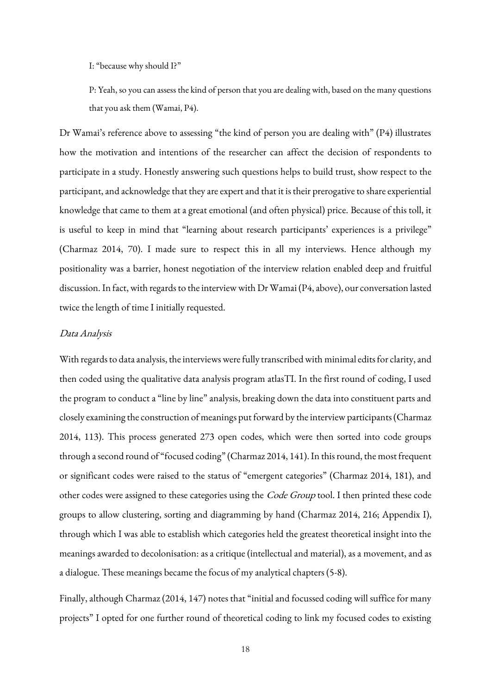I: "because why should I?"

P: Yeah, so you can assess the kind of person that you are dealing with, based on the many questions that you ask them (Wamai, P4).

Dr Wamai's reference above to assessing "the kind of person you are dealing with" (P4) illustrates how the motivation and intentions of the researcher can affect the decision of respondents to participate in a study. Honestly answering such questions helps to build trust, show respect to the participant, and acknowledge that they are expert and that it is their prerogative to share experiential knowledge that came to them at a great emotional (and often physical) price. Because of this toll, it is useful to keep in mind that "learning about research participants' experiences is a privilege" (Charmaz 2014, 70). I made sure to respect this in all my interviews. Hence although my positionality was a barrier, honest negotiation of the interview relation enabled deep and fruitful discussion. In fact, with regards to the interview with Dr Wamai (P4, above), our conversation lasted twice the length of time I initially requested.

#### Data Analysis

With regards to data analysis, the interviews were fully transcribed with minimal edits for clarity, and then coded using the qualitative data analysis program atlasTI. In the first round of coding, I used the program to conduct a "line by line" analysis, breaking down the data into constituent parts and closely examining the construction of meanings put forward by the interview participants (Charmaz 2014, 113). This process generated 273 open codes, which were then sorted into code groups through a second round of "focused coding" (Charmaz 2014, 141). In this round, the most frequent or significant codes were raised to the status of "emergent categories" (Charmaz 2014, 181), and other codes were assigned to these categories using the *Code Group* tool. I then printed these code groups to allow clustering, sorting and diagramming by hand (Charmaz 2014, 216; Appendix I), through which I was able to establish which categories held the greatest theoretical insight into the meanings awarded to decolonisation: as a critique (intellectual and material), as a movement, and as a dialogue. These meanings became the focus of my analytical chapters (5-8).

Finally, although Charmaz (2014, 147) notes that "initial and focussed coding will suffice for many projects" I opted for one further round of theoretical coding to link my focused codes to existing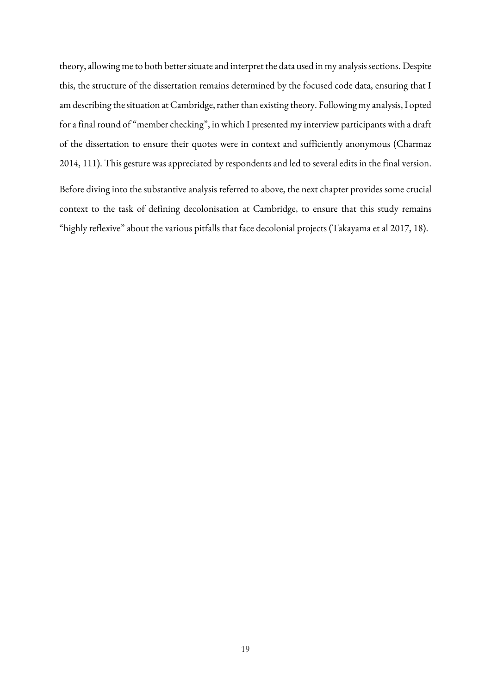theory, allowing me to both better situate and interpret the data used in my analysis sections. Despite this, the structure of the dissertation remains determined by the focused code data, ensuring that I am describing the situation at Cambridge, rather than existing theory. Following my analysis, I opted for a final round of "member checking", in which I presented my interview participants with a draft of the dissertation to ensure their quotes were in context and sufficiently anonymous (Charmaz 2014, 111). This gesture was appreciated by respondents and led to several edits in the final version.

Before diving into the substantive analysis referred to above, the next chapter provides some crucial context to the task of defining decolonisation at Cambridge, to ensure that this study remains "highly reflexive" about the various pitfalls that face decolonial projects (Takayama et al 2017, 18).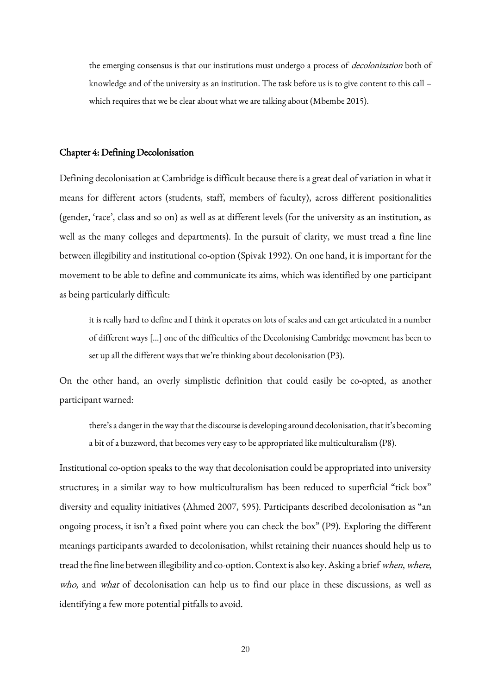the emerging consensus is that our institutions must undergo a process of *decolonization* both of knowledge and of the university as an institution. The task before us is to give content to this call – which requires that we be clear about what we are talking about (Mbembe 2015).

#### Chapter 4: Defining Decolonisation

Defining decolonisation at Cambridge is difficult because there is a great deal of variation in what it means for different actors (students, staff, members of faculty), across different positionalities (gender, 'race', class and so on) as well as at different levels (for the university as an institution, as well as the many colleges and departments). In the pursuit of clarity, we must tread a fine line between illegibility and institutional co-option (Spivak 1992). On one hand, it is important for the movement to be able to define and communicate its aims, which was identified by one participant as being particularly difficult:

it is really hard to define and I think it operates on lots of scales and can get articulated in a number of different ways […] one of the difficulties of the Decolonising Cambridge movement has been to set up all the different ways that we're thinking about decolonisation (P3).

On the other hand, an overly simplistic definition that could easily be co-opted, as another participant warned:

there's a danger in the way that the discourse is developing around decolonisation, that it's becoming a bit of a buzzword, that becomes very easy to be appropriated like multiculturalism (P8).

Institutional co-option speaks to the way that decolonisation could be appropriated into university structures; in a similar way to how multiculturalism has been reduced to superficial "tick box" diversity and equality initiatives (Ahmed 2007, 595). Participants described decolonisation as "an ongoing process, it isn't a fixed point where you can check the box" (P9). Exploring the different meanings participants awarded to decolonisation, whilst retaining their nuances should help us to tread the fine line between illegibility and co-option. Context is also key. Asking a brief when, where, who, and what of decolonisation can help us to find our place in these discussions, as well as identifying a few more potential pitfalls to avoid.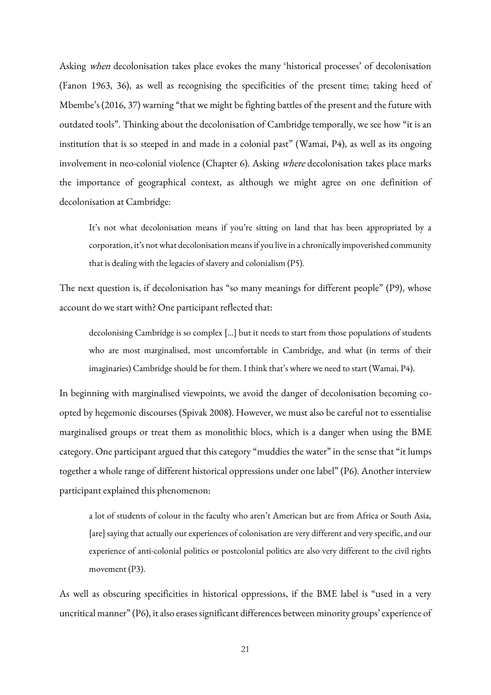Asking when decolonisation takes place evokes the many 'historical processes' of decolonisation (Fanon 1963, 36), as well as recognising the specificities of the present time; taking heed of Mbembe's (2016, 37) warning "that we might be fighting battles of the present and the future with outdated tools". Thinking about the decolonisation of Cambridge temporally, we see how "it is an institution that is so steeped in and made in a colonial past" (Wamai, P4), as well as its ongoing involvement in neo-colonial violence (Chapter 6). Asking where decolonisation takes place marks the importance of geographical context, as although we might agree on one definition of decolonisation at Cambridge:

It's not what decolonisation means if you're sitting on land that has been appropriated by a corporation, it's not what decolonisation means if you live in a chronically impoverished community that is dealing with the legacies of slavery and colonialism (P5).

The next question is, if decolonisation has "so many meanings for different people" (P9), whose account do we start with? One participant reflected that:

decolonising Cambridge is so complex […] but it needs to start from those populations of students who are most marginalised, most uncomfortable in Cambridge, and what (in terms of their imaginaries) Cambridge should be for them. I think that's where we need to start (Wamai, P4).

In beginning with marginalised viewpoints, we avoid the danger of decolonisation becoming coopted by hegemonic discourses (Spivak 2008). However, we must also be careful not to essentialise marginalised groups or treat them as monolithic blocs, which is a danger when using the BME category. One participant argued that this category "muddies the water" in the sense that "it lumps together a whole range of different historical oppressions under one label" (P6). Another interview participant explained this phenomenon:

a lot of students of colour in the faculty who aren't American but are from Africa or South Asia, [are] saying that actually our experiences of colonisation are very different and very specific, and our experience of anti-colonial politics or postcolonial politics are also very different to the civil rights movement (P3).

As well as obscuring specificities in historical oppressions, if the BME label is "used in a very uncritical manner" (P6), it also erases significant differences between minority groups' experience of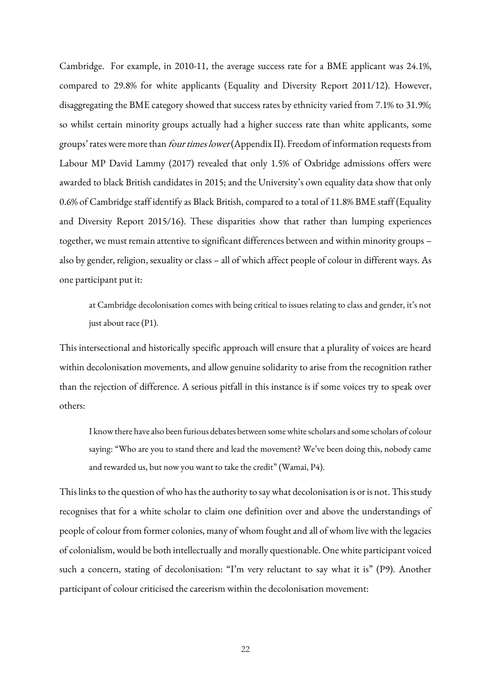Cambridge. For example, in 2010-11, the average success rate for a BME applicant was 24.1%, compared to 29.8% for white applicants (Equality and Diversity Report 2011/12). However, disaggregating the BME category showed that success rates by ethnicity varied from 7.1% to 31.9%; so whilst certain minority groups actually had a higher success rate than white applicants, some groups' rates were more than *four times lower* (Appendix II). Freedom of information requests from Labour MP David Lammy (2017) revealed that only 1.5% of Oxbridge admissions offers were awarded to black British candidates in 2015; and the University's own equality data show that only 0.6% of Cambridge staff identify as Black British, compared to a total of 11.8% BME staff (Equality and Diversity Report 2015/16). These disparities show that rather than lumping experiences together, we must remain attentive to significant differences between and within minority groups – also by gender, religion, sexuality or class – all of which affect people of colour in different ways. As one participant put it:

at Cambridge decolonisation comes with being critical to issues relating to class and gender, it's not just about race (P1).

This intersectional and historically specific approach will ensure that a plurality of voices are heard within decolonisation movements, and allow genuine solidarity to arise from the recognition rather than the rejection of difference. A serious pitfall in this instance is if some voices try to speak over others:

I know there have also been furious debates between some white scholars and some scholars of colour saying: "Who are you to stand there and lead the movement? We've been doing this, nobody came and rewarded us, but now you want to take the credit" (Wamai, P4).

This links to the question of who has the authority to say what decolonisation is or is not. This study recognises that for a white scholar to claim one definition over and above the understandings of people of colour from former colonies, many of whom fought and all of whom live with the legacies of colonialism, would be both intellectually and morally questionable. One white participant voiced such a concern, stating of decolonisation: "I'm very reluctant to say what it is" (P9). Another participant of colour criticised the careerism within the decolonisation movement: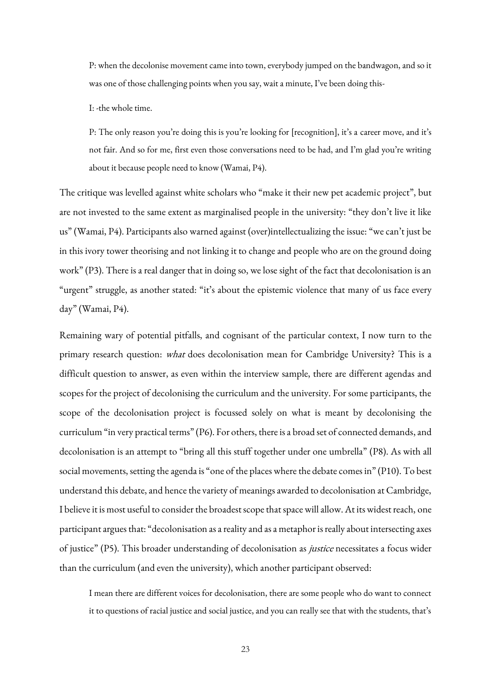P: when the decolonise movement came into town, everybody jumped on the bandwagon, and so it was one of those challenging points when you say, wait a minute, I've been doing this-

I: -the whole time.

P: The only reason you're doing this is you're looking for [recognition], it's a career move, and it's not fair. And so for me, first even those conversations need to be had, and I'm glad you're writing about it because people need to know (Wamai, P4).

The critique was levelled against white scholars who "make it their new pet academic project", but are not invested to the same extent as marginalised people in the university: "they don't live it like us" (Wamai, P4). Participants also warned against (over)intellectualizing the issue: "we can't just be in this ivory tower theorising and not linking it to change and people who are on the ground doing work" (P3). There is a real danger that in doing so, we lose sight of the fact that decolonisation is an "urgent" struggle, as another stated: "it's about the epistemic violence that many of us face every day" (Wamai, P4).

Remaining wary of potential pitfalls, and cognisant of the particular context, I now turn to the primary research question: what does decolonisation mean for Cambridge University? This is a difficult question to answer, as even within the interview sample, there are different agendas and scopes for the project of decolonising the curriculum and the university. For some participants, the scope of the decolonisation project is focussed solely on what is meant by decolonising the curriculum "in very practical terms" (P6). For others, there is a broad set of connected demands, and decolonisation is an attempt to "bring all this stuff together under one umbrella" (P8). As with all social movements, setting the agenda is "one of the places where the debate comes in" (P10). To best understand this debate, and hence the variety of meanings awarded to decolonisation at Cambridge, I believe it is most useful to consider the broadest scope that space will allow. At its widest reach, one participant argues that: "decolonisation as a reality and as a metaphor is really about intersecting axes of justice" (P5). This broader understanding of decolonisation as justice necessitates a focus wider than the curriculum (and even the university), which another participant observed:

I mean there are different voices for decolonisation, there are some people who do want to connect it to questions of racial justice and social justice, and you can really see that with the students, that's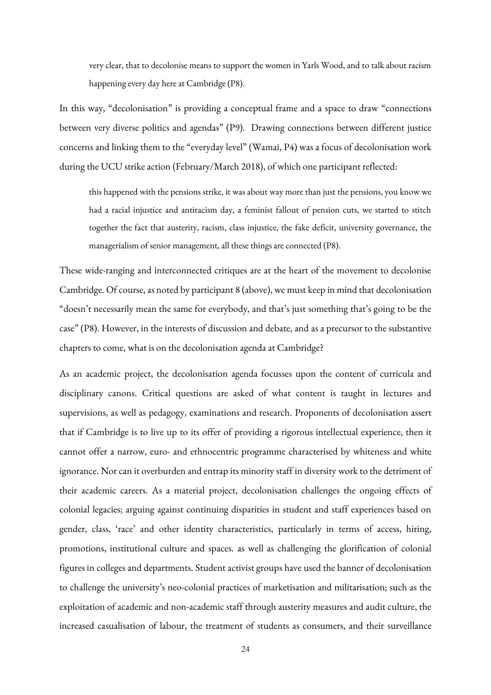very clear, that to decolonise means to support the women in Yarls Wood, and to talk about racism happening every day here at Cambridge (P8).

In this way, "decolonisation" is providing a conceptual frame and a space to draw "connections between very diverse politics and agendas" (P9). Drawing connections between different justice concerns and linking them to the "everyday level" (Wamai, P4) was a focus of decolonisation work during the UCU strike action (February/March 2018), of which one participant reflected:

this happened with the pensions strike, it was about way more than just the pensions, you know we had a racial injustice and antiracism day, a feminist fallout of pension cuts, we started to stitch together the fact that austerity, racism, class injustice, the fake deficit, university governance, the managerialism of senior management, all these things are connected (P8).

These wide-ranging and interconnected critiques are at the heart of the movement to decolonise Cambridge. Of course, as noted by participant 8 (above), we must keep in mind that decolonisation "doesn't necessarily mean the same for everybody, and that's just something that's going to be the case" (P8). However, in the interests of discussion and debate, and as a precursor to the substantive chapters to come, what is on the decolonisation agenda at Cambridge?

As an academic project, the decolonisation agenda focusses upon the content of curricula and disciplinary canons. Critical questions are asked of what content is taught in lectures and supervisions, as well as pedagogy, examinations and research. Proponents of decolonisation assert that if Cambridge is to live up to its offer of providing a rigorous intellectual experience, then it cannot offer a narrow, euro- and ethnocentric programme characterised by whiteness and white ignorance. Nor can it overburden and entrap its minority staff in diversity work to the detriment of their academic careers. As a material project, decolonisation challenges the ongoing effects of colonial legacies; arguing against continuing disparities in student and staff experiences based on gender, class, 'race' and other identity characteristics, particularly in terms of access, hiring, promotions, institutional culture and spaces. as well as challenging the glorification of colonial figures in colleges and departments. Student activist groups have used the banner of decolonisation to challenge the university's neo-colonial practices of marketisation and militarisation; such as the exploitation of academic and non-academic staff through austerity measures and audit culture, the increased casualisation of labour, the treatment of students as consumers, and their surveillance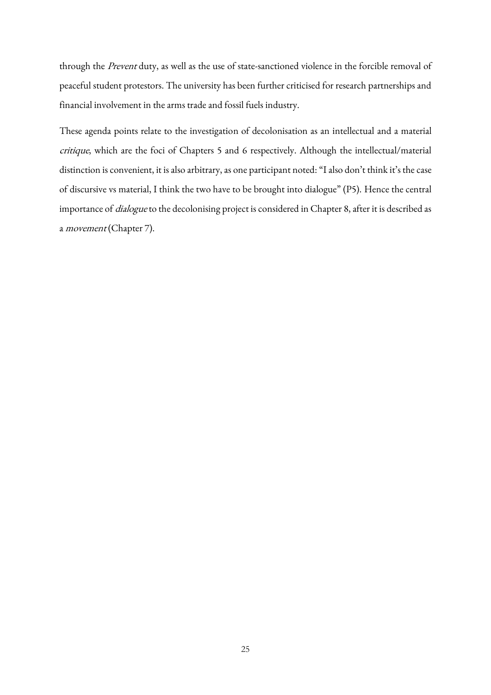through the Prevent duty, as well as the use of state-sanctioned violence in the forcible removal of peaceful student protestors. The university has been further criticised for research partnerships and financial involvement in the arms trade and fossil fuels industry.

These agenda points relate to the investigation of decolonisation as an intellectual and a material critique, which are the foci of Chapters 5 and 6 respectively. Although the intellectual/material distinction is convenient, it is also arbitrary, as one participant noted: "I also don't think it's the case of discursive vs material, I think the two have to be brought into dialogue" (P5). Hence the central importance of *dialogue* to the decolonising project is considered in Chapter 8, after it is described as a *movement* (Chapter 7).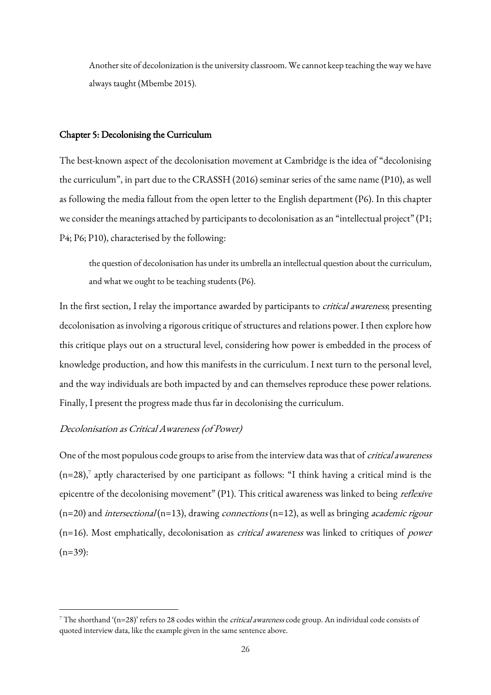Another site of decolonization is the university classroom. We cannot keep teaching the way we have always taught (Mbembe 2015).

#### Chapter 5: Decolonising the Curriculum

The best-known aspect of the decolonisation movement at Cambridge is the idea of "decolonising the curriculum", in part due to the CRASSH (2016) seminar series of the same name (P10), as well as following the media fallout from the open letter to the English department (P6). In this chapter we consider the meanings attached by participants to decolonisation as an "intellectual project" (P1; P4; P6; P10), characterised by the following:

the question of decolonisation has under its umbrella an intellectual question about the curriculum, and what we ought to be teaching students (P6).

In the first section, I relay the importance awarded by participants to *critical awareness*; presenting decolonisation as involving a rigorous critique of structures and relations power. I then explore how this critique plays out on a structural level, considering how power is embedded in the process of knowledge production, and how this manifests in the curriculum. I next turn to the personal level, and the way individuals are both impacted by and can themselves reproduce these power relations. Finally, I present the progress made thus far in decolonising the curriculum.

#### Decolonisation as Critical Awareness (of Power)

**.** 

One of the most populous code groups to arise from the interview data was that of *critical awareness*  $(n=28)$ , aptly characterised by one participant as follows: "I think having a critical mind is the epicentre of the decolonising movement" (P1). This critical awareness was linked to being *reflexive*  $(n=20)$  and *intersectional* (n=13), drawing *connections* (n=12), as well as bringing *academic rigour* (n=16). Most emphatically, decolonisation as critical awareness was linked to critiques of power  $(n=39)$ :

<sup>&</sup>lt;sup>7</sup> The shorthand '(n=28)' refers to 28 codes within the *critical awareness* code group. An individual code consists of quoted interview data, like the example given in the same sentence above.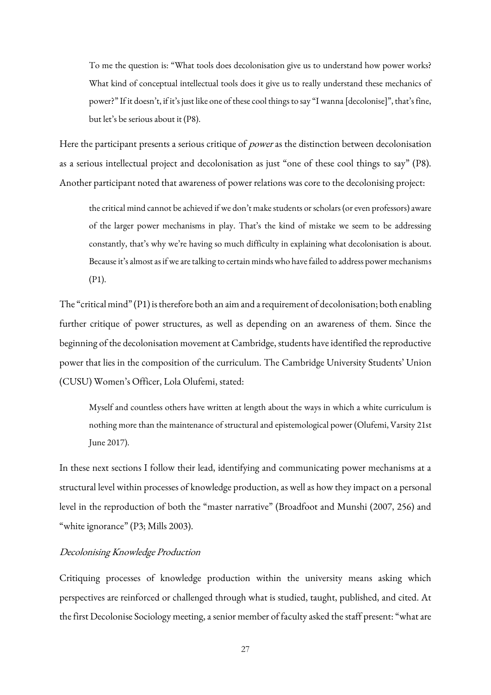To me the question is: "What tools does decolonisation give us to understand how power works? What kind of conceptual intellectual tools does it give us to really understand these mechanics of power?" If it doesn't, if it's just like one of these cool things to say "I wanna [decolonise]", that's fine, but let's be serious about it (P8).

Here the participant presents a serious critique of *power* as the distinction between decolonisation as a serious intellectual project and decolonisation as just "one of these cool things to say" (P8). Another participant noted that awareness of power relations was core to the decolonising project:

the critical mind cannot be achieved if we don't make students or scholars (or even professors) aware of the larger power mechanisms in play. That's the kind of mistake we seem to be addressing constantly, that's why we're having so much difficulty in explaining what decolonisation is about. Because it's almost as if we are talking to certain minds who have failed to address power mechanisms (P1).

The "critical mind" (P1) is therefore both an aim and a requirement of decolonisation; both enabling further critique of power structures, as well as depending on an awareness of them. Since the beginning of the decolonisation movement at Cambridge, students have identified the reproductive power that lies in the composition of the curriculum. The Cambridge University Students' Union (CUSU) Women's Officer, Lola Olufemi, stated:

Myself and countless others have written at length about the ways in which a white curriculum is nothing more than the maintenance of structural and epistemological power (Olufemi, Varsity 21st June 2017).

In these next sections I follow their lead, identifying and communicating power mechanisms at a structural level within processes of knowledge production, as well as how they impact on a personal level in the reproduction of both the "master narrative" (Broadfoot and Munshi (2007, 256) and "white ignorance" (P3; Mills 2003).

# Decolonising Knowledge Production

Critiquing processes of knowledge production within the university means asking which perspectives are reinforced or challenged through what is studied, taught, published, and cited. At the first Decolonise Sociology meeting, a senior member of faculty asked the staff present: "what are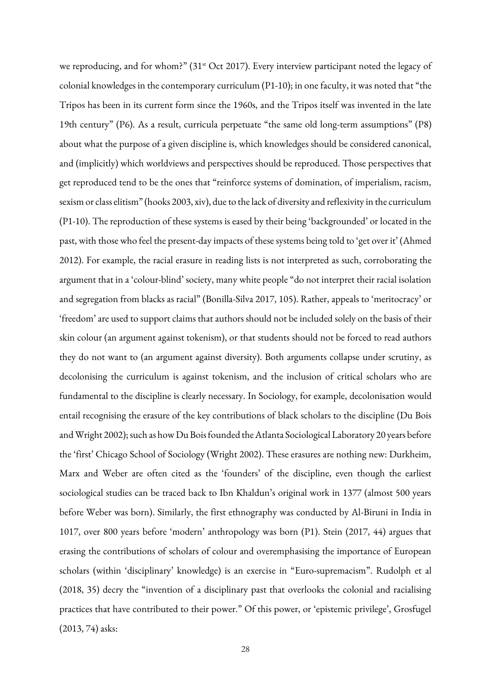we reproducing, and for whom?" (31<sup>st</sup> Oct 2017). Every interview participant noted the legacy of colonial knowledges in the contemporary curriculum (P1-10); in one faculty, it was noted that "the Tripos has been in its current form since the 1960s, and the Tripos itself was invented in the late 19th century" (P6). As a result, curricula perpetuate "the same old long-term assumptions" (P8) about what the purpose of a given discipline is, which knowledges should be considered canonical, and (implicitly) which worldviews and perspectives should be reproduced. Those perspectives that get reproduced tend to be the ones that "reinforce systems of domination, of imperialism, racism, sexism or class elitism" (hooks 2003, xiv), due to the lack of diversity and reflexivity in the curriculum (P1-10). The reproduction of these systems is eased by their being 'backgrounded' or located in the past, with those who feel the present-day impacts of these systems being told to 'get over it' (Ahmed 2012). For example, the racial erasure in reading lists is not interpreted as such, corroborating the argument that in a 'colour-blind' society, many white people "do not interpret their racial isolation and segregation from blacks as racial" (Bonilla-Silva 2017, 105). Rather, appeals to 'meritocracy' or 'freedom' are used to support claims that authors should not be included solely on the basis of their skin colour (an argument against tokenism), or that students should not be forced to read authors they do not want to (an argument against diversity). Both arguments collapse under scrutiny, as decolonising the curriculum is against tokenism, and the inclusion of critical scholars who are fundamental to the discipline is clearly necessary. In Sociology, for example, decolonisation would entail recognising the erasure of the key contributions of black scholars to the discipline (Du Bois and Wright 2002); such as how Du Bois founded the Atlanta Sociological Laboratory 20 years before the 'first' Chicago School of Sociology (Wright 2002). These erasures are nothing new: Durkheim, Marx and Weber are often cited as the 'founders' of the discipline, even though the earliest sociological studies can be traced back to Ibn Khaldun's original work in 1377 (almost 500 years before Weber was born). Similarly, the first ethnography was conducted by Al-Biruni in India in 1017, over 800 years before 'modern' anthropology was born (P1). Stein (2017, 44) argues that erasing the contributions of scholars of colour and overemphasising the importance of European scholars (within 'disciplinary' knowledge) is an exercise in "Euro-supremacism". Rudolph et al (2018, 35) decry the "invention of a disciplinary past that overlooks the colonial and racialising practices that have contributed to their power." Of this power, or 'epistemic privilege', Grosfugel (2013, 74) asks: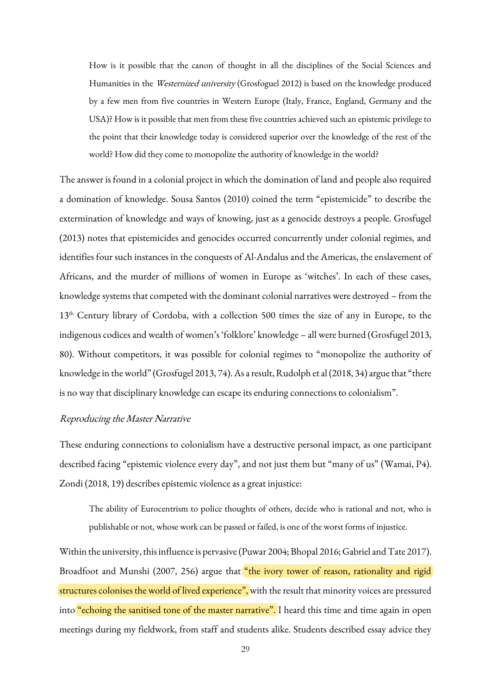How is it possible that the canon of thought in all the disciplines of the Social Sciences and Humanities in the Westernized university (Grosfoguel 2012) is based on the knowledge produced by a few men from five countries in Western Europe (Italy, France, England, Germany and the USA)? How is it possible that men from these five countries achieved such an epistemic privilege to the point that their knowledge today is considered superior over the knowledge of the rest of the world? How did they come to monopolize the authority of knowledge in the world?

The answer is found in a colonial project in which the domination of land and people also required a domination of knowledge. Sousa Santos (2010) coined the term "epistemicide" to describe the extermination of knowledge and ways of knowing, just as a genocide destroys a people. Grosfugel (2013) notes that epistemicides and genocides occurred concurrently under colonial regimes, and identifies four such instances in the conquests of Al-Andalus and the Americas, the enslavement of Africans, and the murder of millions of women in Europe as 'witches'. In each of these cases, knowledge systems that competed with the dominant colonial narratives were destroyed – from the 13<sup>th</sup> Century library of Cordoba, with a collection 500 times the size of any in Europe, to the indigenous codices and wealth of women's 'folklore' knowledge – all were burned (Grosfugel 2013, 80). Without competitors, it was possible for colonial regimes to "monopolize the authority of knowledge in theworld" (Grosfugel 2013, 74). As a result, Rudolph et al (2018, 34) argue that "there is no way that disciplinary knowledge can escape its enduring connections to colonialism".

### Reproducing the Master Narrative

These enduring connections to colonialism have a destructive personal impact, as one participant described facing "epistemic violence every day", and not just them but "many of us" (Wamai, P4). Zondi (2018, 19) describes epistemic violence as a great injustice:

The ability of Eurocentrism to police thoughts of others, decide who is rational and not, who is publishable or not, whose work can be passed or failed, is one of the worst forms of injustice.

Within the university, this influence is pervasive (Puwar 2004; Bhopal 2016; Gabriel and Tate 2017). Broadfoot and Munshi (2007, 256) argue that "the ivory tower of reason, rationality and rigid structures colonises the world of lived experience", with the result that minority voices are pressured into "echoing the sanitised tone of the master narrative". I heard this time and time again in open meetings during my fieldwork, from staff and students alike. Students described essay advice they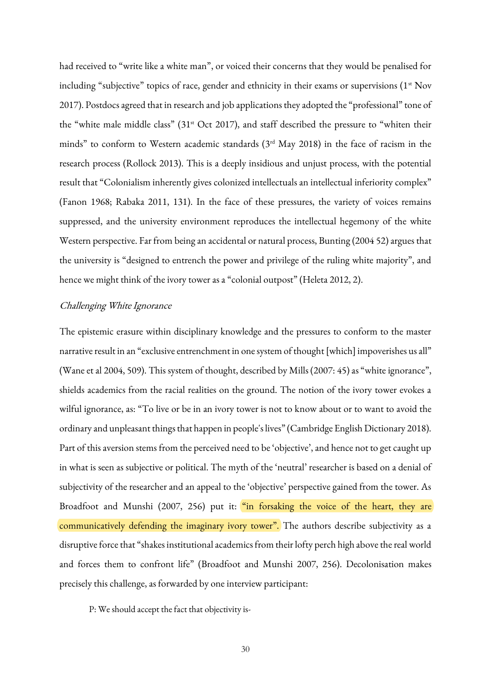had received to "write like a white man", or voiced their concerns that they would be penalised for including "subjective" topics of race, gender and ethnicity in their exams or supervisions (1<sup>st</sup> Nov 2017). Postdocs agreed that in research and job applications they adopted the "professional" tone of the "white male middle class" (31st Oct 2017), and staff described the pressure to "whiten their minds" to conform to Western academic standards (3rd May 2018) in the face of racism in the research process (Rollock 2013). This is a deeply insidious and unjust process, with the potential result that "Colonialism inherently gives colonized intellectuals an intellectual inferiority complex" (Fanon 1968; Rabaka 2011, 131). In the face of these pressures, the variety of voices remains suppressed, and the university environment reproduces the intellectual hegemony of the white Western perspective. Far from being an accidental or natural process, Bunting (2004 52) argues that the university is "designed to entrench the power and privilege of the ruling white majority", and hence we might think of the ivory tower as a "colonial outpost" (Heleta 2012, 2).

## Challenging White Ignorance

The epistemic erasure within disciplinary knowledge and the pressures to conform to the master narrative result in an "exclusive entrenchment in one system of thought [which] impoverishes us all" (Wane et al 2004, 509). This system of thought, described by Mills (2007: 45) as "white ignorance", shields academics from the racial realities on the ground. The notion of the ivory tower evokes a wilful ignorance, as: "To live or be in an ivory tower is not to know about or to want to avoid the ordinary and unpleasant things that happen in people's lives" (Cambridge English Dictionary 2018). Part of this aversion stems from the perceived need to be 'objective', and hence not to get caught up in what is seen as subjective or political. The myth of the 'neutral' researcher is based on a denial of subjectivity of the researcher and an appeal to the 'objective' perspective gained from the tower. As Broadfoot and Munshi (2007, 256) put it: "in forsaking the voice of the heart, they are communicatively defending the imaginary ivory tower". The authors describe subjectivity as a disruptive force that "shakes institutional academics from their lofty perch high above the real world and forces them to confront life" (Broadfoot and Munshi 2007, 256). Decolonisation makes precisely this challenge, as forwarded by one interview participant:

P: We should accept the fact that objectivity is-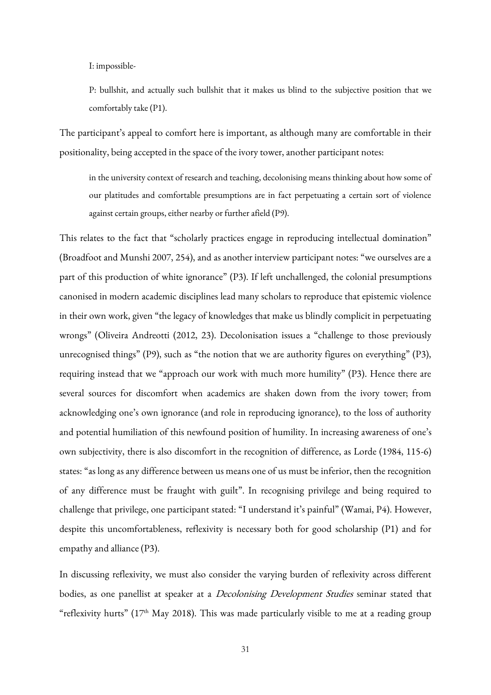I: impossible-

P: bullshit, and actually such bullshit that it makes us blind to the subjective position that we comfortably take (P1).

The participant's appeal to comfort here is important, as although many are comfortable in their positionality, being accepted in the space of the ivory tower, another participant notes:

in the university context of research and teaching, decolonising means thinking about how some of our platitudes and comfortable presumptions are in fact perpetuating a certain sort of violence against certain groups, either nearby or further afield (P9).

This relates to the fact that "scholarly practices engage in reproducing intellectual domination" (Broadfoot and Munshi 2007, 254), and as another interview participant notes: "we ourselves are a part of this production of white ignorance" (P3). If left unchallenged, the colonial presumptions canonised in modern academic disciplines lead many scholars to reproduce that epistemic violence in their own work, given "the legacy of knowledges that make us blindly complicit in perpetuating wrongs" (Oliveira Andreotti (2012, 23). Decolonisation issues a "challenge to those previously unrecognised things" (P9), such as "the notion that we are authority figures on everything" (P3), requiring instead that we "approach our work with much more humility" (P3). Hence there are several sources for discomfort when academics are shaken down from the ivory tower; from acknowledging one's own ignorance (and role in reproducing ignorance), to the loss of authority and potential humiliation of this newfound position of humility. In increasing awareness of one's own subjectivity, there is also discomfort in the recognition of difference, as Lorde (1984, 115-6) states: "as long as any difference between us means one of us must be inferior, then the recognition of any difference must be fraught with guilt". In recognising privilege and being required to challenge that privilege, one participant stated: "I understand it's painful" (Wamai, P4). However, despite this uncomfortableness, reflexivity is necessary both for good scholarship (P1) and for empathy and alliance (P3).

In discussing reflexivity, we must also consider the varying burden of reflexivity across different bodies, as one panellist at speaker at a *Decolonising Development Studies* seminar stated that "reflexivity hurts" ( $17<sup>th</sup>$  May 2018). This was made particularly visible to me at a reading group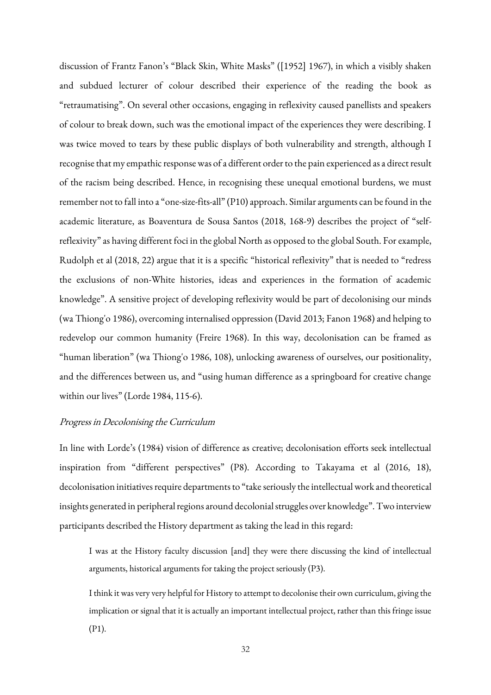discussion of Frantz Fanon's "Black Skin, White Masks" ([1952] 1967), in which a visibly shaken and subdued lecturer of colour described their experience of the reading the book as "retraumatising". On several other occasions, engaging in reflexivity caused panellists and speakers of colour to break down, such was the emotional impact of the experiences they were describing. I was twice moved to tears by these public displays of both vulnerability and strength, although I recognise that my empathic response was of a different order to the pain experienced as a direct result of the racism being described. Hence, in recognising these unequal emotional burdens, we must remember not to fall into a "one-size-fits-all" (P10) approach. Similar arguments can be found in the academic literature, as Boaventura de Sousa Santos (2018, 168-9) describes the project of "selfreflexivity" as having different foci in the global North as opposed to the global South. For example, Rudolph et al (2018, 22) argue that it is a specific "historical reflexivity" that is needed to "redress the exclusions of non-White histories, ideas and experiences in the formation of academic knowledge". A sensitive project of developing reflexivity would be part of decolonising our minds (wa Thiong'o 1986), overcoming internalised oppression (David 2013; Fanon 1968) and helping to redevelop our common humanity (Freire 1968). In this way, decolonisation can be framed as "human liberation" (wa Thiong'o 1986, 108), unlocking awareness of ourselves, our positionality, and the differences between us, and "using human difference as a springboard for creative change within our lives" (Lorde 1984, 115-6).

# Progress in Decolonising the Curriculum

In line with Lorde's (1984) vision of difference as creative; decolonisation efforts seek intellectual inspiration from "different perspectives" (P8). According to Takayama et al (2016, 18), decolonisation initiatives require departments to "take seriously the intellectual work and theoretical insights generated in peripheral regions around decolonial struggles over knowledge". Two interview participants described the History department as taking the lead in this regard:

I was at the History faculty discussion [and] they were there discussing the kind of intellectual arguments, historical arguments for taking the project seriously (P3).

I think it was very very helpful for History to attempt to decolonise their own curriculum, giving the implication or signal that it is actually an important intellectual project, rather than this fringe issue (P1).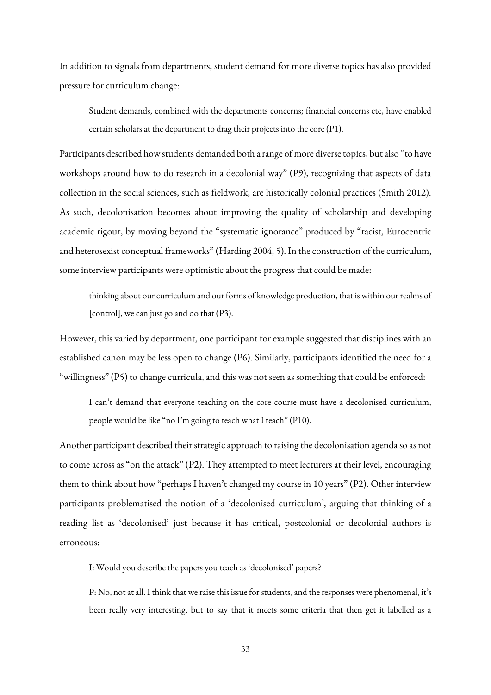In addition to signals from departments, student demand for more diverse topics has also provided pressure for curriculum change:

Student demands, combined with the departments concerns; financial concerns etc, have enabled certain scholars at the department to drag their projects into the core (P1).

Participants described how students demanded both a range of more diverse topics, but also "to have workshops around how to do research in a decolonial way" (P9), recognizing that aspects of data collection in the social sciences, such as fieldwork, are historically colonial practices (Smith 2012). As such, decolonisation becomes about improving the quality of scholarship and developing academic rigour, by moving beyond the "systematic ignorance" produced by "racist, Eurocentric and heterosexist conceptual frameworks" (Harding 2004, 5). In the construction of the curriculum, some interview participants were optimistic about the progress that could be made:

thinking about our curriculum and our forms of knowledge production, that is within our realms of [control], we can just go and do that (P3).

However, this varied by department, one participant for example suggested that disciplines with an established canon may be less open to change (P6). Similarly, participants identified the need for a "willingness" (P5) to change curricula, and this was not seen as something that could be enforced:

I can't demand that everyone teaching on the core course must have a decolonised curriculum, people would be like "no I'm going to teach what I teach" (P10).

Another participant described their strategic approach to raising the decolonisation agenda so as not to come across as "on the attack" (P2). They attempted to meet lecturers at their level, encouraging them to think about how "perhaps I haven't changed my course in 10 years" (P2). Other interview participants problematised the notion of a 'decolonised curriculum', arguing that thinking of a reading list as 'decolonised' just because it has critical, postcolonial or decolonial authors is erroneous:

I: Would you describe the papers you teach as 'decolonised' papers?

P: No, not at all. I think that we raise this issue for students, and the responses were phenomenal, it's been really very interesting, but to say that it meets some criteria that then get it labelled as a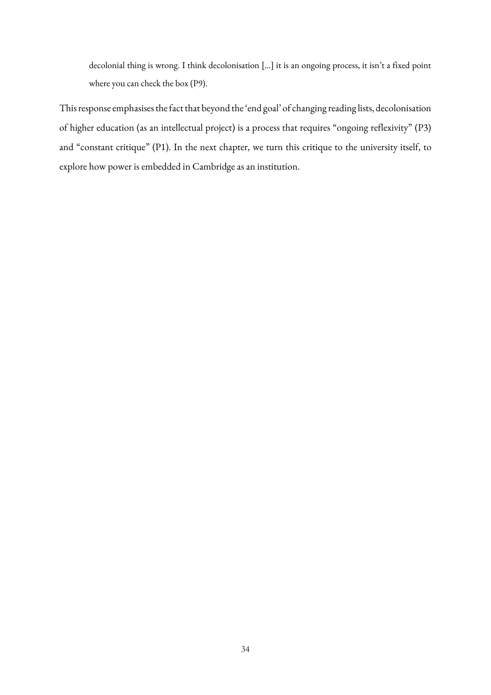decolonial thing is wrong. I think decolonisation […] it is an ongoing process, it isn't a fixed point where you can check the box (P9).

This response emphasises the fact that beyond the 'end goal' of changing reading lists, decolonisation of higher education (as an intellectual project) is a process that requires "ongoing reflexivity" (P3) and "constant critique" (P1). In the next chapter, we turn this critique to the university itself, to explore how power is embedded in Cambridge as an institution.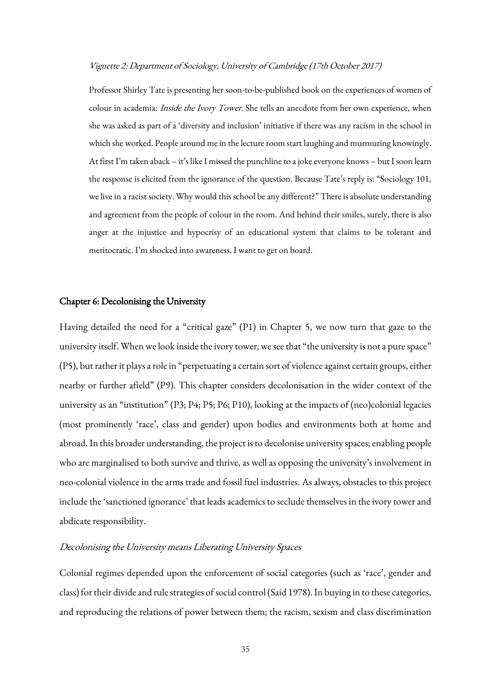#### Vignette 2: Department of Sociology, University of Cambridge (17th October 2017)

Professor Shirley Tate is presenting her soon-to-be-published book on the experiences of women of colour in academia: *Inside the Ivory Tower*. She tells an anecdote from her own experience, when she was asked as part of a 'diversity and inclusion' initiative if there was any racism in the school in which she worked. People around me in the lecture room start laughing and murmuring knowingly. At first I'm taken aback – it's like I missed the punchline to a joke everyone knows – but I soon learn the response is elicited from the ignorance of the question. Because Tate's reply is: "Sociology 101, we live in a racist society. Why would this school be any different?" There is absolute understanding and agreement from the people of colour in the room. And behind their smiles, surely, there is also anger at the injustice and hypocrisy of an educational system that claims to be tolerant and meritocratic. I'm shocked into awareness. I want to get on board.

#### Chapter 6: Decolonising the University

Having detailed the need for a "critical gaze" (P1) in Chapter 5, we now turn that gaze to the university itself. When we look inside the ivory tower, we see that "the university is not a pure space" (P5), but rather it plays a role in "perpetuating a certain sort of violence against certain groups, either nearby or further afield" (P9). This chapter considers decolonisation in the wider context of the university as an "institution" (P3; P4; P5; P6; P10), looking at the impacts of (neo)colonial legacies (most prominently 'race', class and gender) upon bodies and environments both at home and abroad. In this broader understanding, the project is to decolonise university spaces; enabling people who are marginalised to both survive and thrive, as well as opposing the university's involvement in neo-colonial violence in the arms trade and fossil fuel industries. As always, obstacles to this project include the 'sanctioned ignorance' that leads academics to seclude themselves in the ivory tower and abdicate responsibility.

## Decolonising the University means Liberating University Spaces

Colonial regimes depended upon the enforcement of social categories (such as 'race', gender and class) for their divide and rule strategies of social control (Said 1978). In buying in to these categories, and reproducing the relations of power between them; the racism, sexism and class discrimination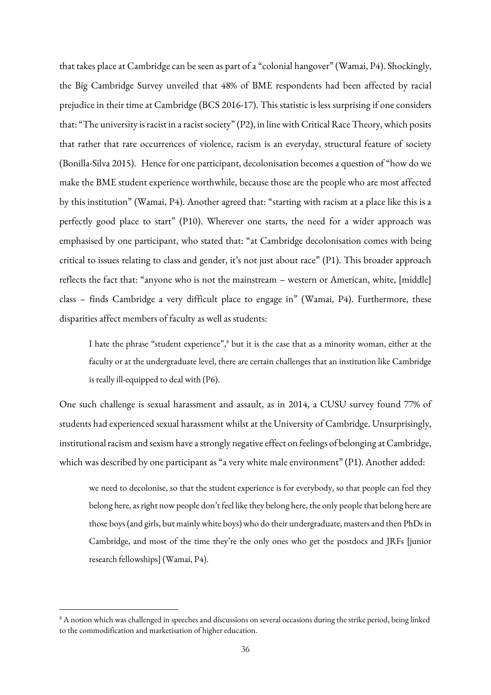that takes place at Cambridge can be seen as part of a "colonial hangover" (Wamai, P4). Shockingly, the Big Cambridge Survey unveiled that 48% of BME respondents had been affected by racial prejudice in their time at Cambridge (BCS 2016-17). This statistic is less surprising if one considers that: "The university is racist in a racist society" (P2), in line with Critical Race Theory, which posits that rather that rare occurrences of violence, racism is an everyday, structural feature of society (Bonilla-Silva 2015). Hence for one participant, decolonisation becomes a question of "how do we make the BME student experience worthwhile, because those are the people who are most affected by this institution" (Wamai, P4). Another agreed that: "starting with racism at a place like this is a perfectly good place to start" (P10). Wherever one starts, the need for a wider approach was emphasised by one participant, who stated that: "at Cambridge decolonisation comes with being critical to issues relating to class and gender, it's not just about race" (P1). This broader approach reflects the fact that: "anyone who is not the mainstream – western or American, white, [middle] class – finds Cambridge a very difficult place to engage in" (Wamai, P4). Furthermore, these disparities affect members of faculty as well as students:

I hate the phrase "student experience",<sup>8</sup> but it is the case that as a minority woman, either at the faculty or at the undergraduate level, there are certain challenges that an institution like Cambridge is really ill-equipped to deal with (P6).

One such challenge is sexual harassment and assault, as in 2014, a CUSU survey found 77% of students had experienced sexual harassment whilst at the University of Cambridge. Unsurprisingly, institutional racism and sexism have a strongly negative effect on feelings of belonging at Cambridge, which was described by one participant as "a very white male environment" (P1). Another added:

we need to decolonise, so that the student experience is for everybody, so that people can feel they belong here, as right now people don't feel like they belong here, the only people that belong here are those boys (and girls, but mainly white boys) who do their undergraduate, masters and then PhDs in Cambridge, and most of the time they're the only ones who get the postdocs and JRFs [junior research fellowships] (Wamai, P4).

**.** 

<sup>&</sup>lt;sup>8</sup> A notion which was challenged in speeches and discussions on several occasions during the strike period, being linked to the commodification and marketisation of higher education.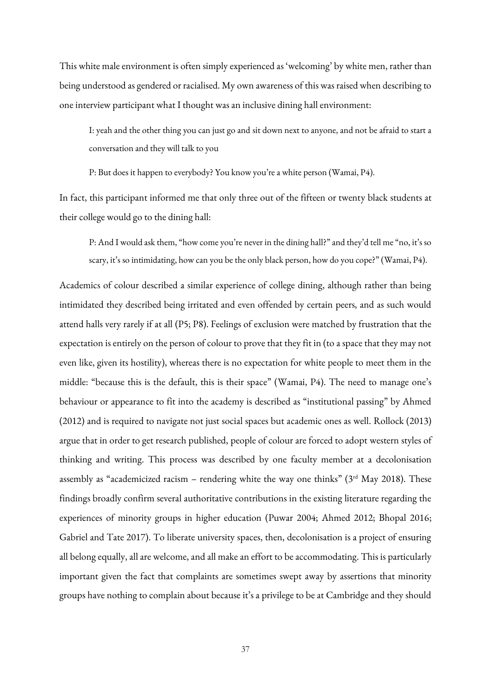This white male environment is often simply experienced as 'welcoming' by white men, rather than being understood as gendered or racialised. My own awareness of this was raised when describing to one interview participant what I thought was an inclusive dining hall environment:

I: yeah and the other thing you can just go and sit down next to anyone, and not be afraid to start a conversation and they will talk to you

P: But does it happen to everybody? You know you're a white person (Wamai, P4).

In fact, this participant informed me that only three out of the fifteen or twenty black students at their college would go to the dining hall:

P: And I would ask them, "how come you're never in the dining hall?" and they'd tell me "no, it's so scary, it's so intimidating, how can you be the only black person, how do you cope?" (Wamai, P4).

Academics of colour described a similar experience of college dining, although rather than being intimidated they described being irritated and even offended by certain peers, and as such would attend halls very rarely if at all (P5; P8). Feelings of exclusion were matched by frustration that the expectation is entirely on the person of colour to prove that they fit in (to a space that they may not even like, given its hostility), whereas there is no expectation for white people to meet them in the middle: "because this is the default, this is their space" (Wamai, P4). The need to manage one's behaviour or appearance to fit into the academy is described as "institutional passing" by Ahmed (2012) and is required to navigate not just social spaces but academic ones as well. Rollock (2013) argue that in order to get research published, people of colour are forced to adopt western styles of thinking and writing. This process was described by one faculty member at a decolonisation assembly as "academicized racism – rendering white the way one thinks" ( $3<sup>rd</sup>$  May 2018). These findings broadly confirm several authoritative contributions in the existing literature regarding the experiences of minority groups in higher education (Puwar 2004; Ahmed 2012; Bhopal 2016; Gabriel and Tate 2017). To liberate university spaces, then, decolonisation is a project of ensuring all belong equally, all are welcome, and all make an effort to be accommodating. This is particularly important given the fact that complaints are sometimes swept away by assertions that minority groups have nothing to complain about because it's a privilege to be at Cambridge and they should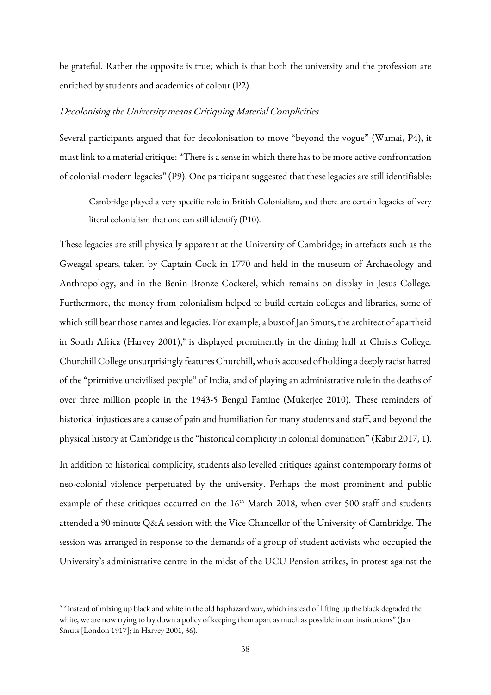be grateful. Rather the opposite is true; which is that both the university and the profession are enriched by students and academics of colour (P2).

## Decolonising the University means Critiquing Material Complicities

Several participants argued that for decolonisation to move "beyond the vogue" (Wamai, P4), it must link to a material critique: "There is a sense in which there has to be more active confrontation of colonial-modern legacies" (P9). One participant suggested that these legacies are still identifiable:

Cambridge played a very specific role in British Colonialism, and there are certain legacies of very literal colonialism that one can still identify (P10).

These legacies are still physically apparent at the University of Cambridge; in artefacts such as the Gweagal spears, taken by Captain Cook in 1770 and held in the museum of Archaeology and Anthropology, and in the Benin Bronze Cockerel, which remains on display in Jesus College. Furthermore, the money from colonialism helped to build certain colleges and libraries, some of which still bear those names and legacies. For example, a bust of Jan Smuts, the architect of apartheid in South Africa (Harvey 2001),<sup>9</sup> is displayed prominently in the dining hall at Christs College. Churchill College unsurprisingly features Churchill, who is accused of holding a deeply racist hatred of the "primitive uncivilised people" of India, and of playing an administrative role in the deaths of over three million people in the 1943-5 Bengal Famine (Mukerjee 2010). These reminders of historical injustices are a cause of pain and humiliation for many students and staff, and beyond the physical history at Cambridge is the "historical complicity in colonial domination" (Kabir 2017, 1).

In addition to historical complicity, students also levelled critiques against contemporary forms of neo-colonial violence perpetuated by the university. Perhaps the most prominent and public example of these critiques occurred on the 16<sup>th</sup> March 2018, when over 500 staff and students attended a 90-minute Q&A session with the Vice Chancellor of the University of Cambridge. The session was arranged in response to the demands of a group of student activists who occupied the University's administrative centre in the midst of the UCU Pension strikes, in protest against the

1

<sup>9</sup> "Instead of mixing up black and white in the old haphazard way, which instead of lifting up the black degraded the white, we are now trying to lay down a policy of keeping them apart as much as possible in our institutions" (Jan Smuts [London 1917]; in Harvey 2001, 36).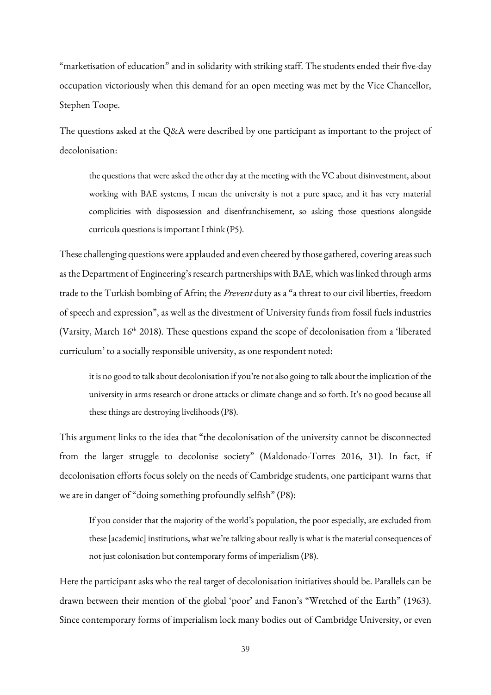"marketisation of education" and in solidarity with striking staff. The students ended their five-day occupation victoriously when this demand for an open meeting was met by the Vice Chancellor, Stephen Toope.

The questions asked at the Q&A were described by one participant as important to the project of decolonisation:

the questions that were asked the other day at the meeting with the VC about disinvestment, about working with BAE systems, I mean the university is not a pure space, and it has very material complicities with dispossession and disenfranchisement, so asking those questions alongside curricula questions is important I think (P5).

These challenging questions were applauded and even cheered by those gathered, covering areas such as the Department of Engineering's research partnerships with BAE, which was linked through arms trade to the Turkish bombing of Afrin; the Prevent duty as a "a threat to our civil liberties, freedom of speech and expression", as well as the divestment of University funds from fossil fuels industries (Varsity, March 16<sup>th</sup> 2018). These questions expand the scope of decolonisation from a 'liberated curriculum' to a socially responsible university, as one respondent noted:

it is no good to talk about decolonisation if you're not also going to talk about the implication of the university in arms research or drone attacks or climate change and so forth. It's no good because all these things are destroying livelihoods (P8).

This argument links to the idea that "the decolonisation of the university cannot be disconnected from the larger struggle to decolonise society" (Maldonado-Torres 2016, 31). In fact, if decolonisation efforts focus solely on the needs of Cambridge students, one participant warns that we are in danger of "doing something profoundly selfish" (P8):

If you consider that the majority of the world's population, the poor especially, are excluded from these [academic] institutions, what we're talking about really is what is the material consequences of not just colonisation but contemporary forms of imperialism (P8).

Here the participant asks who the real target of decolonisation initiatives should be. Parallels can be drawn between their mention of the global 'poor' and Fanon's "Wretched of the Earth" (1963). Since contemporary forms of imperialism lock many bodies out of Cambridge University, or even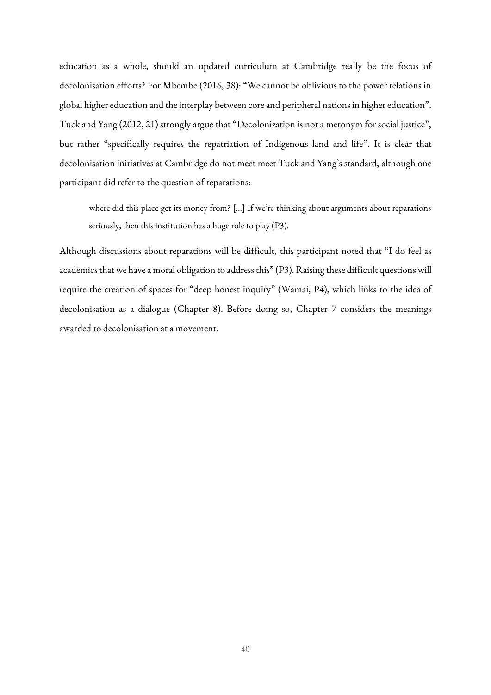education as a whole, should an updated curriculum at Cambridge really be the focus of decolonisation efforts? For Mbembe (2016, 38): "We cannot be oblivious to the power relations in global higher education and the interplay between core and peripheral nations in higher education". Tuck and Yang (2012, 21) strongly argue that "Decolonization is not a metonym for social justice", but rather "specifically requires the repatriation of Indigenous land and life". It is clear that decolonisation initiatives at Cambridge do not meet meet Tuck and Yang's standard, although one participant did refer to the question of reparations:

where did this place get its money from? […] If we're thinking about arguments about reparations seriously, then this institution has a huge role to play (P3).

Although discussions about reparations will be difficult, this participant noted that "I do feel as academics that we have a moral obligation to address this" (P3). Raising these difficult questions will require the creation of spaces for "deep honest inquiry" (Wamai, P4), which links to the idea of decolonisation as a dialogue (Chapter 8). Before doing so, Chapter 7 considers the meanings awarded to decolonisation at a movement.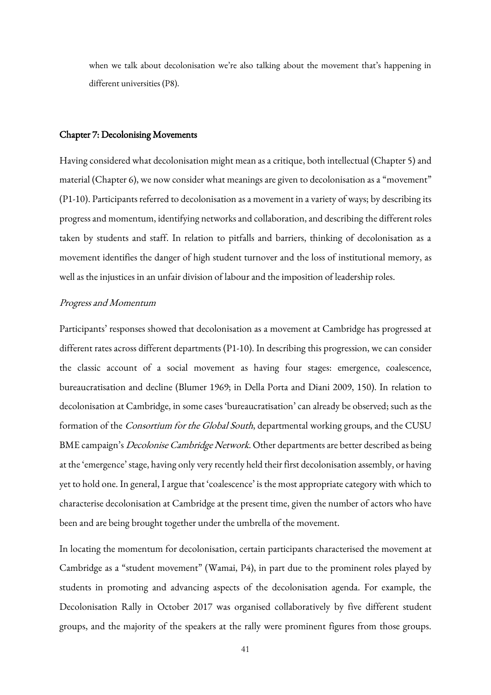when we talk about decolonisation we're also talking about the movement that's happening in different universities (P8).

#### Chapter 7: Decolonising Movements

Having considered what decolonisation might mean as a critique, both intellectual (Chapter 5) and material (Chapter 6), we now consider what meanings are given to decolonisation as a "movement" (P1-10). Participants referred to decolonisation as a movement in a variety of ways; by describing its progress and momentum, identifying networks and collaboration, and describing the different roles taken by students and staff. In relation to pitfalls and barriers, thinking of decolonisation as a movement identifies the danger of high student turnover and the loss of institutional memory, as well as the injustices in an unfair division of labour and the imposition of leadership roles.

## Progress and Momentum

Participants' responses showed that decolonisation as a movement at Cambridge has progressed at different rates across different departments (P1-10). In describing this progression, we can consider the classic account of a social movement as having four stages: emergence, coalescence, bureaucratisation and decline (Blumer 1969; in Della Porta and Diani 2009, 150). In relation to decolonisation at Cambridge, in some cases 'bureaucratisation' can already be observed; such as the formation of the *Consortium for the Global South*, departmental working groups, and the CUSU BME campaign's *Decolonise Cambridge Network*. Other departments are better described as being at the 'emergence' stage, having only very recently held their first decolonisation assembly, or having yet to hold one. In general, I argue that 'coalescence' is the most appropriate category with which to characterise decolonisation at Cambridge at the present time, given the number of actors who have been and are being brought together under the umbrella of the movement.

In locating the momentum for decolonisation, certain participants characterised the movement at Cambridge as a "student movement" (Wamai, P4), in part due to the prominent roles played by students in promoting and advancing aspects of the decolonisation agenda. For example, the Decolonisation Rally in October 2017 was organised collaboratively by five different student groups, and the majority of the speakers at the rally were prominent figures from those groups.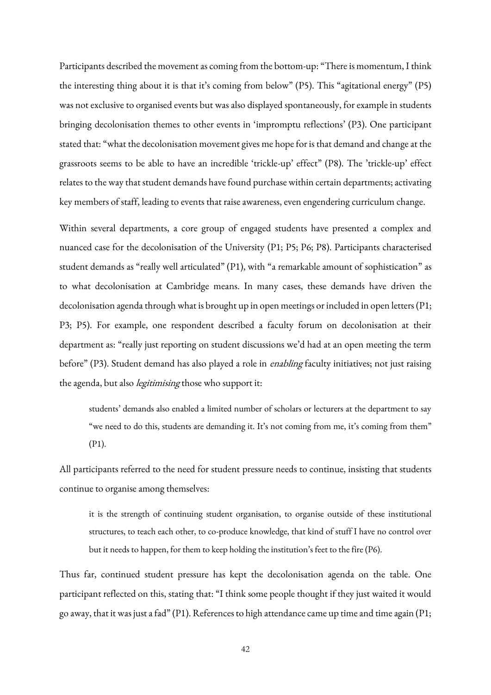Participants described the movement as coming from the bottom-up: "There is momentum, I think the interesting thing about it is that it's coming from below" (P5). This "agitational energy" (P5) was not exclusive to organised events but was also displayed spontaneously, for example in students bringing decolonisation themes to other events in 'impromptu reflections' (P3). One participant stated that: "what the decolonisation movement gives me hope for is that demand and change at the grassroots seems to be able to have an incredible 'trickle-up' effect" (P8). The 'trickle-up' effect relates to the way that student demands have found purchase within certain departments; activating key members of staff, leading to events that raise awareness, even engendering curriculum change.

Within several departments, a core group of engaged students have presented a complex and nuanced case for the decolonisation of the University (P1; P5; P6; P8). Participants characterised student demands as "really well articulated" (P1), with "a remarkable amount of sophistication" as to what decolonisation at Cambridge means. In many cases, these demands have driven the decolonisation agenda through what is brought up in open meetings or included in open letters (P1; P3; P5). For example, one respondent described a faculty forum on decolonisation at their department as: "really just reporting on student discussions we'd had at an open meeting the term before" (P3). Student demand has also played a role in *enabling* faculty initiatives; not just raising the agenda, but also *legitimising* those who support it:

students' demands also enabled a limited number of scholars or lecturers at the department to say "we need to do this, students are demanding it. It's not coming from me, it's coming from them" (P1).

All participants referred to the need for student pressure needs to continue, insisting that students continue to organise among themselves:

it is the strength of continuing student organisation, to organise outside of these institutional structures, to teach each other, to co-produce knowledge, that kind of stuff I have no control over but it needs to happen, for them to keep holding the institution's feet to the fire (P6).

Thus far, continued student pressure has kept the decolonisation agenda on the table. One participant reflected on this, stating that: "I think some people thought if they just waited it would go away, that it was just a fad" (P1). References to high attendance came up time and time again (P1;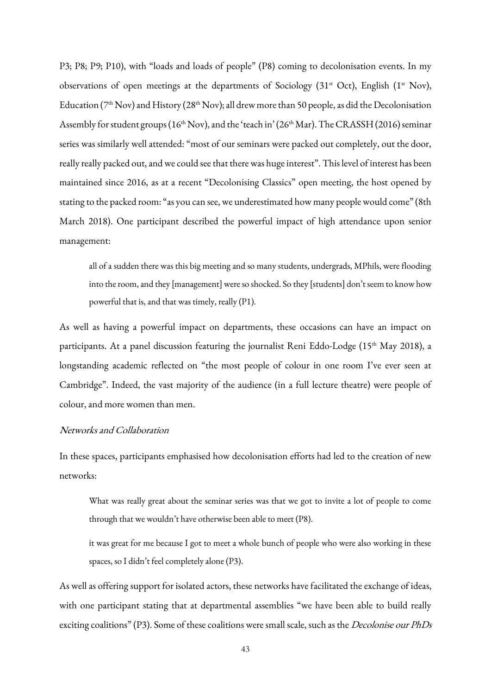P3; P8; P9; P10), with "loads and loads of people" (P8) coming to decolonisation events. In my observations of open meetings at the departments of Sociology (31<sup>st</sup> Oct), English (1<sup>st</sup> Nov), Education ( $7<sup>th</sup>$  Nov) and History ( $28<sup>th</sup>$  Nov); all drew more than 50 people, as did the Decolonisation Assembly for student groups (16<sup>th</sup> Nov), and the 'teach in' (26<sup>th</sup> Mar). The CRASSH (2016) seminar series was similarly well attended: "most of our seminars were packed out completely, out the door, really really packed out, and we could see that there was huge interest". This level of interest has been maintained since 2016, as at a recent "Decolonising Classics" open meeting, the host opened by stating to the packed room: "as you can see, we underestimated how many people would come" (8th March 2018). One participant described the powerful impact of high attendance upon senior management:

all of a sudden there was this big meeting and so many students, undergrads, MPhils, were flooding into the room, and they [management] were so shocked. So they [students] don't seem to know how powerful that is, and that was timely, really (P1).

As well as having a powerful impact on departments, these occasions can have an impact on participants. At a panel discussion featuring the journalist Reni Eddo-Lodge (15<sup>th</sup> May 2018), a longstanding academic reflected on "the most people of colour in one room I've ever seen at Cambridge". Indeed, the vast majority of the audience (in a full lecture theatre) were people of colour, and more women than men.

# Networks and Collaboration

In these spaces, participants emphasised how decolonisation efforts had led to the creation of new networks:

What was really great about the seminar series was that we got to invite a lot of people to come through that we wouldn't have otherwise been able to meet (P8).

it was great for me because I got to meet a whole bunch of people who were also working in these spaces, so I didn't feel completely alone (P3).

As well as offering support for isolated actors, these networks have facilitated the exchange of ideas, with one participant stating that at departmental assemblies "we have been able to build really exciting coalitions" (P3). Some of these coalitions were small scale, such as the *Decolonise our PhDs*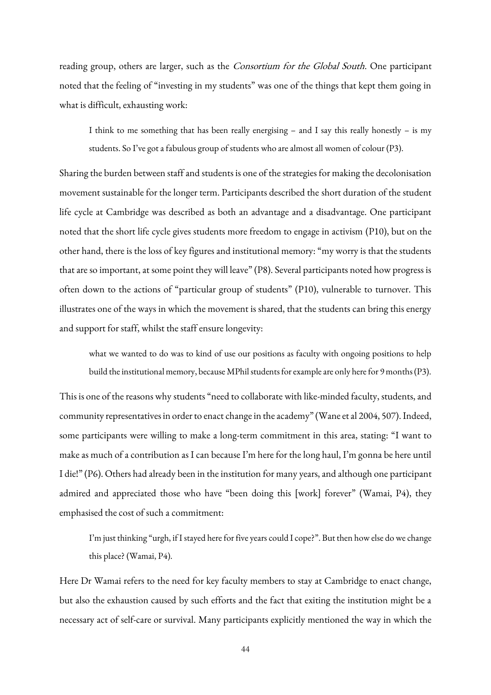reading group, others are larger, such as the Consortium for the Global South. One participant noted that the feeling of "investing in my students" was one of the things that kept them going in what is difficult, exhausting work:

I think to me something that has been really energising – and I say this really honestly – is my students. So I've got a fabulous group of students who are almost all women of colour (P3).

Sharing the burden between staff and students is one of the strategies for making the decolonisation movement sustainable for the longer term. Participants described the short duration of the student life cycle at Cambridge was described as both an advantage and a disadvantage. One participant noted that the short life cycle gives students more freedom to engage in activism (P10), but on the other hand, there is the loss of key figures and institutional memory: "my worry is that the students that are so important, at some point they will leave" (P8). Several participants noted how progress is often down to the actions of "particular group of students" (P10), vulnerable to turnover. This illustrates one of the ways in which the movement is shared, that the students can bring this energy and support for staff, whilst the staff ensure longevity:

what we wanted to do was to kind of use our positions as faculty with ongoing positions to help build the institutional memory, because MPhil students for example are only here for 9 months (P3).

This is one of the reasons why students "need to collaborate with like-minded faculty, students, and community representatives in order to enact change in the academy" (Wane et al 2004, 507). Indeed, some participants were willing to make a long-term commitment in this area, stating: "I want to make as much of a contribution as I can because I'm here for the long haul, I'm gonna be here until I die!" (P6). Others had already been in the institution for many years, and although one participant admired and appreciated those who have "been doing this [work] forever" (Wamai, P4), they emphasised the cost of such a commitment:

I'm just thinking "urgh, if I stayed here for five years could I cope?". But then how else do we change this place? (Wamai, P4).

Here Dr Wamai refers to the need for key faculty members to stay at Cambridge to enact change, but also the exhaustion caused by such efforts and the fact that exiting the institution might be a necessary act of self-care or survival. Many participants explicitly mentioned the way in which the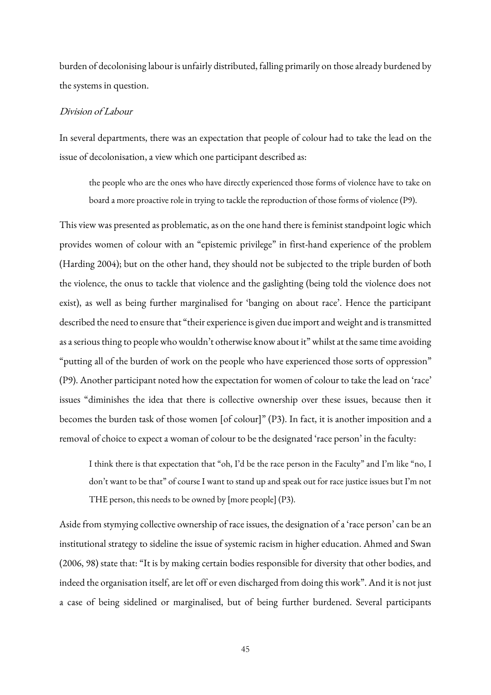burden of decolonising labour is unfairly distributed, falling primarily on those already burdened by the systems in question.

## Division of Labour

In several departments, there was an expectation that people of colour had to take the lead on the issue of decolonisation, a view which one participant described as:

the people who are the ones who have directly experienced those forms of violence have to take on board a more proactive role in trying to tackle the reproduction of those forms of violence (P9).

This view was presented as problematic, as on the one hand there is feminist standpoint logic which provides women of colour with an "epistemic privilege" in first-hand experience of the problem (Harding 2004); but on the other hand, they should not be subjected to the triple burden of both the violence, the onus to tackle that violence and the gaslighting (being told the violence does not exist), as well as being further marginalised for 'banging on about race'. Hence the participant described the need to ensure that "their experience is given due import and weight and is transmitted as a serious thing to people who wouldn't otherwise know about it" whilst at the same time avoiding "putting all of the burden of work on the people who have experienced those sorts of oppression" (P9). Another participant noted how the expectation for women of colour to take the lead on 'race' issues "diminishes the idea that there is collective ownership over these issues, because then it becomes the burden task of those women [of colour]" (P3). In fact, it is another imposition and a removal of choice to expect a woman of colour to be the designated 'race person' in the faculty:

I think there is that expectation that "oh, I'd be the race person in the Faculty" and I'm like "no, I don't want to be that" of course I want to stand up and speak out for race justice issues but I'm not THE person, this needs to be owned by [more people] (P3).

Aside from stymying collective ownership of race issues, the designation of a 'race person' can be an institutional strategy to sideline the issue of systemic racism in higher education. Ahmed and Swan (2006, 98) state that: "It is by making certain bodies responsible for diversity that other bodies, and indeed the organisation itself, are let off or even discharged from doing this work". And it is not just a case of being sidelined or marginalised, but of being further burdened. Several participants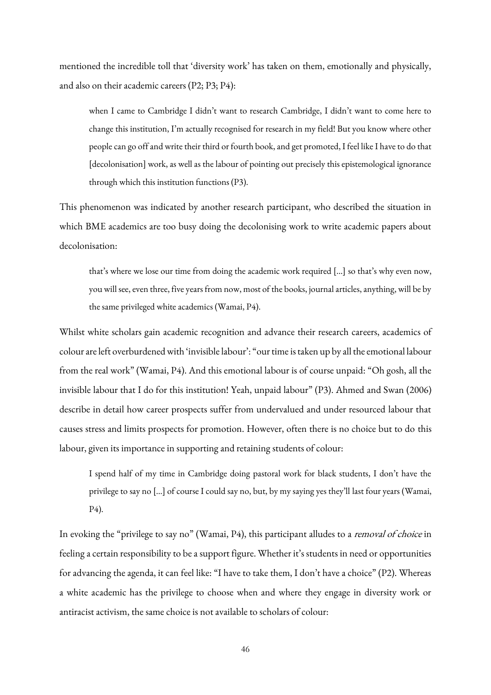mentioned the incredible toll that 'diversity work' has taken on them, emotionally and physically, and also on their academic careers (P2; P3; P4):

when I came to Cambridge I didn't want to research Cambridge, I didn't want to come here to change this institution, I'm actually recognised for research in my field! But you know where other people can go off and write their third or fourth book, and get promoted, I feel like I have to do that [decolonisation] work, as well as the labour of pointing out precisely this epistemological ignorance through which this institution functions (P3).

This phenomenon was indicated by another research participant, who described the situation in which BME academics are too busy doing the decolonising work to write academic papers about decolonisation:

that's where we lose our time from doing the academic work required […] so that's why even now, you will see, even three, five years from now, most of the books, journal articles, anything, will be by the same privileged white academics (Wamai, P4).

Whilst white scholars gain academic recognition and advance their research careers, academics of colour are left overburdened with 'invisible labour': "our time is taken up by all the emotional labour from the real work" (Wamai, P4). And this emotional labour is of course unpaid: "Oh gosh, all the invisible labour that I do for this institution! Yeah, unpaid labour" (P3). Ahmed and Swan (2006) describe in detail how career prospects suffer from undervalued and under resourced labour that causes stress and limits prospects for promotion. However, often there is no choice but to do this labour, given its importance in supporting and retaining students of colour:

I spend half of my time in Cambridge doing pastoral work for black students, I don't have the privilege to say no […] of course I could say no, but, by my saying yes they'll last four years (Wamai, P4).

In evoking the "privilege to say no" (Wamai, P4), this participant alludes to a *removal of choice* in feeling a certain responsibility to be a support figure. Whether it's students in need or opportunities for advancing the agenda, it can feel like: "I have to take them, I don't have a choice" (P2). Whereas a white academic has the privilege to choose when and where they engage in diversity work or antiracist activism, the same choice is not available to scholars of colour: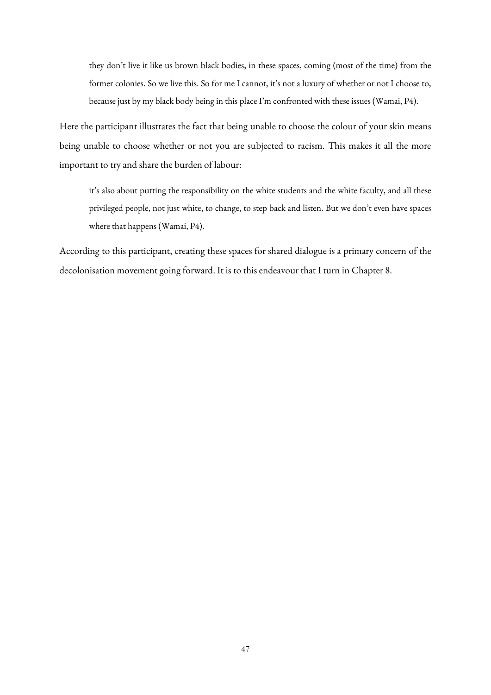they don't live it like us brown black bodies, in these spaces, coming (most of the time) from the former colonies. So we live this. So for me I cannot, it's not a luxury of whether or not I choose to, because just by my black body being in this place I'm confronted with these issues (Wamai, P4).

Here the participant illustrates the fact that being unable to choose the colour of your skin means being unable to choose whether or not you are subjected to racism. This makes it all the more important to try and share the burden of labour:

it's also about putting the responsibility on the white students and the white faculty, and all these privileged people, not just white, to change, to step back and listen. But we don't even have spaces where that happens (Wamai, P4).

According to this participant, creating these spaces for shared dialogue is a primary concern of the decolonisation movement going forward. It is to this endeavour that I turn in Chapter 8.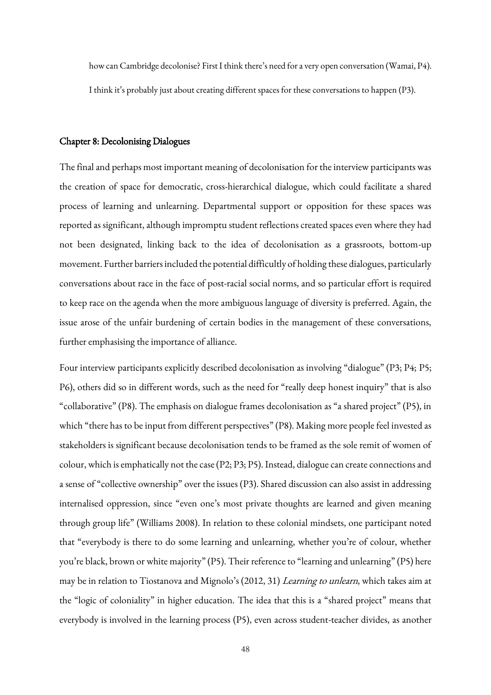how can Cambridge decolonise? First I think there's need for a very open conversation (Wamai, P4). I think it's probably just about creating different spaces for these conversations to happen (P3).

#### Chapter 8: Decolonising Dialogues

The final and perhaps most important meaning of decolonisation for the interview participants was the creation of space for democratic, cross-hierarchical dialogue, which could facilitate a shared process of learning and unlearning. Departmental support or opposition for these spaces was reported as significant, although impromptu student reflections created spaces even where they had not been designated, linking back to the idea of decolonisation as a grassroots, bottom-up movement. Further barriers included the potential difficultly of holding these dialogues, particularly conversations about race in the face of post-racial social norms, and so particular effort is required to keep race on the agenda when the more ambiguous language of diversity is preferred. Again, the issue arose of the unfair burdening of certain bodies in the management of these conversations, further emphasising the importance of alliance.

Four interview participants explicitly described decolonisation as involving "dialogue" (P3; P4; P5; P6), others did so in different words, such as the need for "really deep honest inquiry" that is also "collaborative" (P8). The emphasis on dialogue frames decolonisation as "a shared project" (P5), in which "there has to be input from different perspectives" (P8). Making more people feel invested as stakeholders is significant because decolonisation tends to be framed as the sole remit of women of colour, which is emphatically not the case (P2; P3; P5). Instead, dialogue can create connections and a sense of "collective ownership" over the issues (P3). Shared discussion can also assist in addressing internalised oppression, since "even one's most private thoughts are learned and given meaning through group life" (Williams 2008). In relation to these colonial mindsets, one participant noted that "everybody is there to do some learning and unlearning, whether you're of colour, whether you're black, brown or white majority" (P5). Their reference to "learning and unlearning" (P5) here may be in relation to Tiostanova and Mignolo's (2012, 31) Learning to unlearn, which takes aim at the "logic of coloniality" in higher education. The idea that this is a "shared project" means that everybody is involved in the learning process (P5), even across student-teacher divides, as another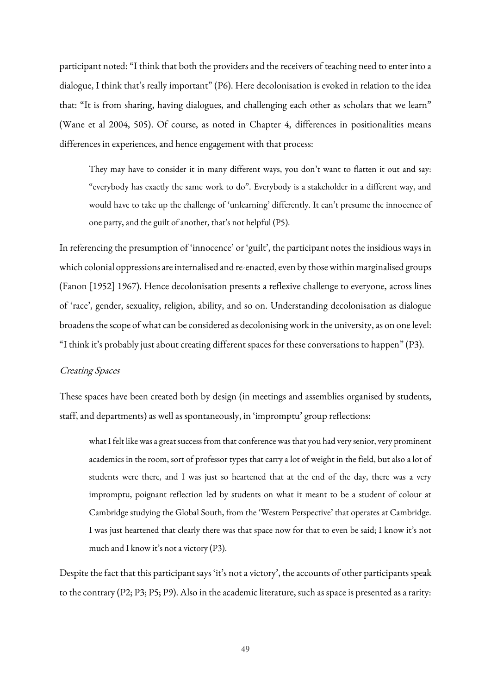participant noted: "I think that both the providers and the receivers of teaching need to enter into a dialogue, I think that's really important" (P6). Here decolonisation is evoked in relation to the idea that: "It is from sharing, having dialogues, and challenging each other as scholars that we learn" (Wane et al 2004, 505). Of course, as noted in Chapter 4, differences in positionalities means differences in experiences, and hence engagement with that process:

They may have to consider it in many different ways, you don't want to flatten it out and say: "everybody has exactly the same work to do". Everybody is a stakeholder in a different way, and would have to take up the challenge of 'unlearning' differently. It can't presume the innocence of one party, and the guilt of another, that's not helpful (P5).

In referencing the presumption of 'innocence' or 'guilt', the participant notes the insidious ways in which colonial oppressions are internalised and re-enacted, even by those within marginalised groups (Fanon [1952] 1967). Hence decolonisation presents a reflexive challenge to everyone, across lines of 'race', gender, sexuality, religion, ability, and so on. Understanding decolonisation as dialogue broadens the scope of what can be considered as decolonising work in the university, as on one level: "I think it's probably just about creating different spaces for these conversations to happen" (P3).

### Creating Spaces

These spaces have been created both by design (in meetings and assemblies organised by students, staff, and departments) as well as spontaneously, in 'impromptu' group reflections:

what I felt like was a great success from that conference was that you had very senior, very prominent academics in the room, sort of professor types that carry a lot of weight in the field, but also a lot of students were there, and I was just so heartened that at the end of the day, there was a very impromptu, poignant reflection led by students on what it meant to be a student of colour at Cambridge studying the Global South, from the 'Western Perspective' that operates at Cambridge. I was just heartened that clearly there was that space now for that to even be said; I know it's not much and I know it's not a victory (P3).

Despite the fact that this participant says 'it's not a victory', the accounts of other participants speak to the contrary (P2; P3; P5; P9). Also in the academic literature, such as space is presented as a rarity: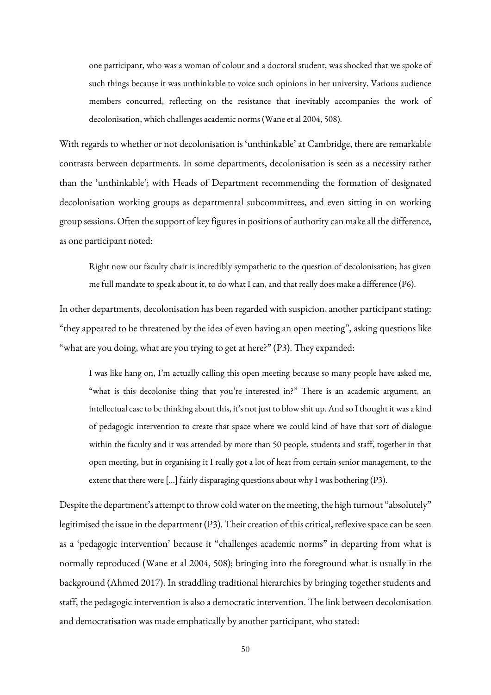one participant, who was a woman of colour and a doctoral student, was shocked that we spoke of such things because it was unthinkable to voice such opinions in her university. Various audience members concurred, reflecting on the resistance that inevitably accompanies the work of decolonisation, which challenges academic norms (Wane et al 2004, 508).

With regards to whether or not decolonisation is 'unthinkable' at Cambridge, there are remarkable contrasts between departments. In some departments, decolonisation is seen as a necessity rather than the 'unthinkable'; with Heads of Department recommending the formation of designated decolonisation working groups as departmental subcommittees, and even sitting in on working group sessions. Often the support of key figures in positions of authority can make all the difference, as one participant noted:

Right now our faculty chair is incredibly sympathetic to the question of decolonisation; has given me full mandate to speak about it, to do what I can, and that really does make a difference (P6).

In other departments, decolonisation has been regarded with suspicion, another participant stating: "they appeared to be threatened by the idea of even having an open meeting", asking questions like "what are you doing, what are you trying to get at here?" (P3). They expanded:

I was like hang on, I'm actually calling this open meeting because so many people have asked me, "what is this decolonise thing that you're interested in?" There is an academic argument, an intellectual case to be thinking about this, it's not just to blow shit up. And so I thought it was a kind of pedagogic intervention to create that space where we could kind of have that sort of dialogue within the faculty and it was attended by more than 50 people, students and staff, together in that open meeting, but in organising it I really got a lot of heat from certain senior management, to the extent that there were […] fairly disparaging questions about why I was bothering (P3).

Despite the department's attempt to throw cold water on the meeting, the high turnout "absolutely" legitimised the issue in the department (P3). Their creation of this critical, reflexive space can be seen as a 'pedagogic intervention' because it "challenges academic norms" in departing from what is normally reproduced (Wane et al 2004, 508); bringing into the foreground what is usually in the background (Ahmed 2017). In straddling traditional hierarchies by bringing together students and staff, the pedagogic intervention is also a democratic intervention. The link between decolonisation and democratisation was made emphatically by another participant, who stated: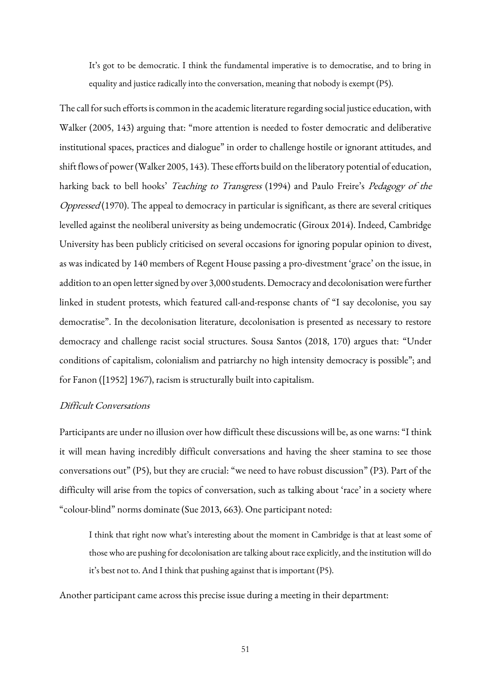It's got to be democratic. I think the fundamental imperative is to democratise, and to bring in equality and justice radically into the conversation, meaning that nobody is exempt (P5).

The call for such efforts is common in the academic literature regarding social justice education, with Walker (2005, 143) arguing that: "more attention is needed to foster democratic and deliberative institutional spaces, practices and dialogue" in order to challenge hostile or ignorant attitudes, and shift flows of power (Walker 2005, 143). These efforts build on the liberatory potential of education, harking back to bell hooks' Teaching to Transgress (1994) and Paulo Freire's Pedagogy of the Oppressed (1970). The appeal to democracy in particular is significant, as there are several critiques levelled against the neoliberal university as being undemocratic (Giroux 2014). Indeed, Cambridge University has been publicly criticised on several occasions for ignoring popular opinion to divest, as was indicated by 140 members of Regent House passing a pro-divestment 'grace' on the issue, in addition to an open letter signed by over 3,000 students. Democracy and decolonisation were further linked in student protests, which featured call-and-response chants of "I say decolonise, you say democratise". In the decolonisation literature, decolonisation is presented as necessary to restore democracy and challenge racist social structures. Sousa Santos (2018, 170) argues that: "Under conditions of capitalism, colonialism and patriarchy no high intensity democracy is possible"; and for Fanon ([1952] 1967), racism is structurally built into capitalism.

## Difficult Conversations

Participants are under no illusion over how difficult these discussions will be, as one warns: "I think it will mean having incredibly difficult conversations and having the sheer stamina to see those conversations out" (P5), but they are crucial: "we need to have robust discussion" (P3). Part of the difficulty will arise from the topics of conversation, such as talking about 'race' in a society where "colour-blind" norms dominate (Sue 2013, 663). One participant noted:

I think that right now what's interesting about the moment in Cambridge is that at least some of those who are pushing for decolonisation are talking about race explicitly, and the institution will do it's best not to. And I think that pushing against that is important (P5).

Another participant came across this precise issue during a meeting in their department: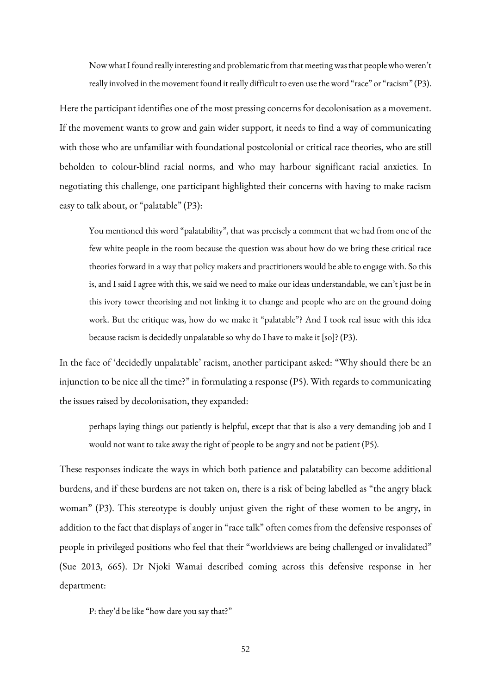Now what I found really interesting and problematic from that meeting was that people who weren't really involved in the movement found it really difficult to even use the word "race" or "racism" (P3).

Here the participant identifies one of the most pressing concerns for decolonisation as a movement. If the movement wants to grow and gain wider support, it needs to find a way of communicating with those who are unfamiliar with foundational postcolonial or critical race theories, who are still beholden to colour-blind racial norms, and who may harbour significant racial anxieties. In negotiating this challenge, one participant highlighted their concerns with having to make racism easy to talk about, or "palatable" (P3):

You mentioned this word "palatability", that was precisely a comment that we had from one of the few white people in the room because the question was about how do we bring these critical race theories forward in a way that policy makers and practitioners would be able to engage with. So this is, and I said I agree with this, we said we need to make our ideas understandable, we can't just be in this ivory tower theorising and not linking it to change and people who are on the ground doing work. But the critique was, how do we make it "palatable"? And I took real issue with this idea because racism is decidedly unpalatable so why do I have to make it [so]? (P3).

In the face of 'decidedly unpalatable' racism, another participant asked: "Why should there be an injunction to be nice all the time?" in formulating a response (P5). With regards to communicating the issues raised by decolonisation, they expanded:

perhaps laying things out patiently is helpful, except that that is also a very demanding job and I would not want to take away the right of people to be angry and not be patient (P5).

These responses indicate the ways in which both patience and palatability can become additional burdens, and if these burdens are not taken on, there is a risk of being labelled as "the angry black woman" (P3). This stereotype is doubly unjust given the right of these women to be angry, in addition to the fact that displays of anger in "race talk" often comes from the defensive responses of people in privileged positions who feel that their "worldviews are being challenged or invalidated" (Sue 2013, 665). Dr Njoki Wamai described coming across this defensive response in her department:

P: they'd be like "how dare you say that?"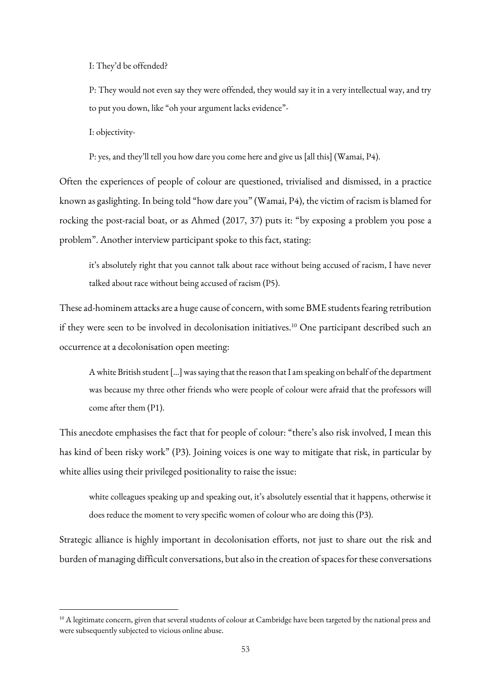I: They'd be offended?

P: They would not even say they were offended, they would say it in a very intellectual way, and try to put you down, like "oh your argument lacks evidence"-

I: objectivity-

**.** 

P: yes, and they'll tell you how dare you come here and give us [all this] (Wamai, P4).

Often the experiences of people of colour are questioned, trivialised and dismissed, in a practice known as gaslighting. In being told "how dare you" (Wamai, P4), the victim of racism is blamed for rocking the post-racial boat, or as Ahmed (2017, 37) puts it: "by exposing a problem you pose a problem". Another interview participant spoke to this fact, stating:

it's absolutely right that you cannot talk about race without being accused of racism, I have never talked about race without being accused of racism (P5).

These ad-hominem attacks are a huge cause of concern, with some BME students fearing retribution if they were seen to be involved in decolonisation initiatives.<sup>10</sup> One participant described such an occurrence at a decolonisation open meeting:

A white British student […] was saying that the reason that I am speaking on behalf of the department was because my three other friends who were people of colour were afraid that the professors will come after them (P1).

This anecdote emphasises the fact that for people of colour: "there's also risk involved, I mean this has kind of been risky work" (P3). Joining voices is one way to mitigate that risk, in particular by white allies using their privileged positionality to raise the issue:

white colleagues speaking up and speaking out, it's absolutely essential that it happens, otherwise it does reduce the moment to very specific women of colour who are doing this (P3).

Strategic alliance is highly important in decolonisation efforts, not just to share out the risk and burden of managing difficult conversations, but also in the creation of spaces for these conversations

 $10$  A legitimate concern, given that several students of colour at Cambridge have been targeted by the national press and were subsequently subjected to vicious online abuse.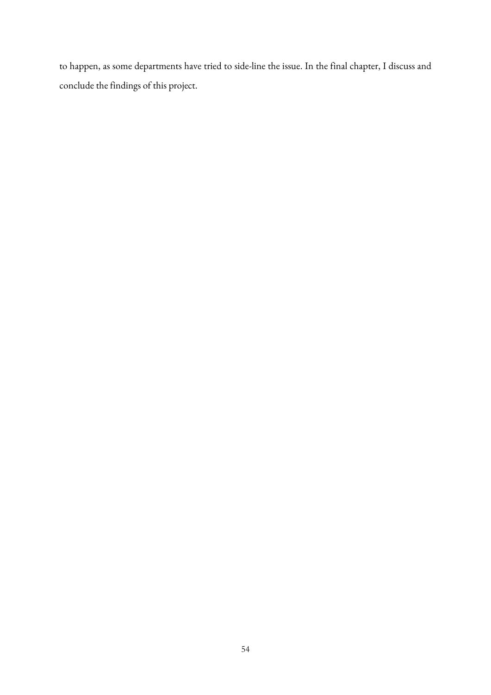to happen, as some departments have tried to side-line the issue. In the final chapter, I discuss and conclude the findings of this project.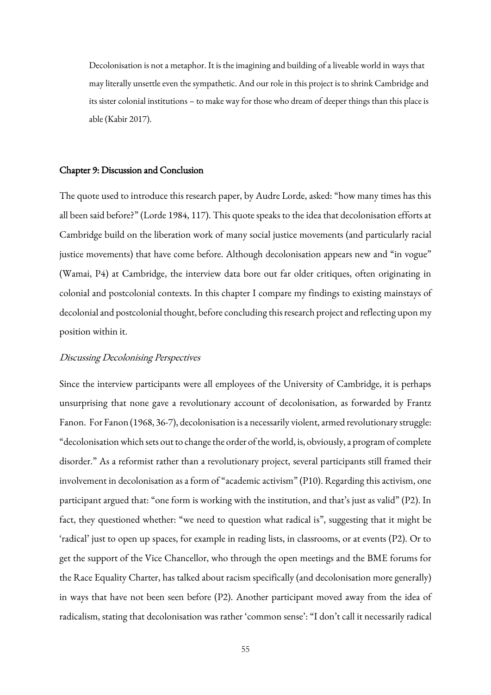Decolonisation is not a metaphor. It is the imagining and building of a liveable world in ways that may literally unsettle even the sympathetic. And our role in this project is to shrink Cambridge and its sister colonial institutions – to make way for those who dream of deeper things than this place is able (Kabir 2017).

# Chapter 9: Discussion and Conclusion

The quote used to introduce this research paper, by Audre Lorde, asked: "how many times has this all been said before?" (Lorde 1984, 117). This quote speaks to the idea that decolonisation efforts at Cambridge build on the liberation work of many social justice movements (and particularly racial justice movements) that have come before. Although decolonisation appears new and "in vogue" (Wamai, P4) at Cambridge, the interview data bore out far older critiques, often originating in colonial and postcolonial contexts. In this chapter I compare my findings to existing mainstays of decolonial and postcolonial thought, before concluding this research project and reflecting upon my position within it.

#### Discussing Decolonising Perspectives

Since the interview participants were all employees of the University of Cambridge, it is perhaps unsurprising that none gave a revolutionary account of decolonisation, as forwarded by Frantz Fanon. For Fanon (1968, 36-7), decolonisation is a necessarily violent, armed revolutionary struggle: "decolonisation which sets out to change the order of the world, is, obviously, a program of complete disorder." As a reformist rather than a revolutionary project, several participants still framed their involvement in decolonisation as a form of "academic activism" (P10). Regarding this activism, one participant argued that: "one form is working with the institution, and that's just as valid" (P2). In fact, they questioned whether: "we need to question what radical is", suggesting that it might be 'radical' just to open up spaces, for example in reading lists, in classrooms, or at events (P2). Or to get the support of the Vice Chancellor, who through the open meetings and the BME forums for the Race Equality Charter, has talked about racism specifically (and decolonisation more generally) in ways that have not been seen before (P2). Another participant moved away from the idea of radicalism, stating that decolonisation was rather 'common sense': "I don't call it necessarily radical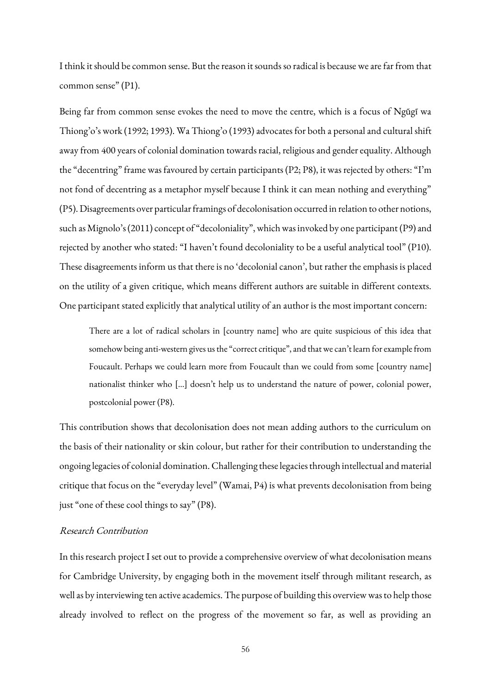I think it should be common sense. But the reason it sounds so radical is because we are far from that common sense" (P1).

Being far from common sense evokes the need to move the centre, which is a focus of Ngũgĩ wa Thiong'o's work (1992; 1993). Wa Thiong'o (1993) advocates for both a personal and cultural shift away from 400 years of colonial domination towards racial, religious and gender equality. Although the "decentring" frame was favoured by certain participants (P2; P8), it was rejected by others: "I'm not fond of decentring as a metaphor myself because I think it can mean nothing and everything" (P5). Disagreements over particular framings of decolonisation occurred in relation to other notions, such as Mignolo's (2011) concept of "decoloniality", which was invoked by one participant (P9) and rejected by another who stated: "I haven't found decoloniality to be a useful analytical tool" (P10). These disagreements inform us that there is no 'decolonial canon', but rather the emphasis is placed on the utility of a given critique, which means different authors are suitable in different contexts. One participant stated explicitly that analytical utility of an author is the most important concern:

There are a lot of radical scholars in [country name] who are quite suspicious of this idea that somehow being anti-western gives us the "correct critique", and that we can't learn for example from Foucault. Perhaps we could learn more from Foucault than we could from some [country name] nationalist thinker who […] doesn't help us to understand the nature of power, colonial power, postcolonial power (P8).

This contribution shows that decolonisation does not mean adding authors to the curriculum on the basis of their nationality or skin colour, but rather for their contribution to understanding the ongoing legacies of colonial domination. Challenging these legacies through intellectual and material critique that focus on the "everyday level" (Wamai, P4) is what prevents decolonisation from being just "one of these cool things to say" (P8).

#### Research Contribution

In this research project I set out to provide a comprehensive overview of what decolonisation means for Cambridge University, by engaging both in the movement itself through militant research, as well as by interviewing ten active academics. The purpose of building this overview was to help those already involved to reflect on the progress of the movement so far, as well as providing an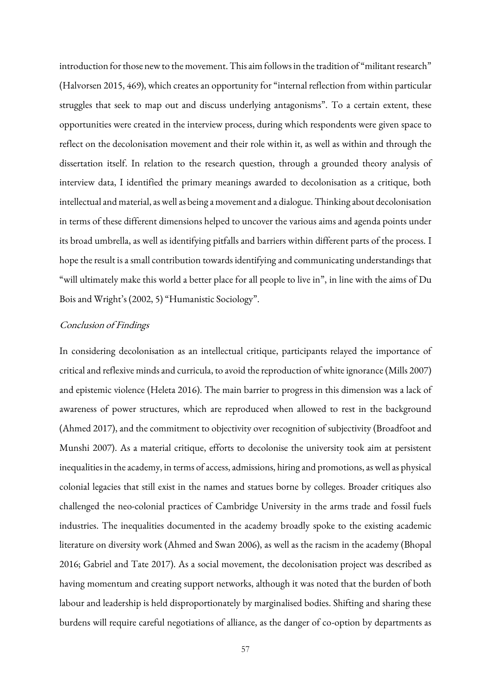introduction for those new to the movement. This aim follows in the tradition of "militant research" (Halvorsen 2015, 469), which creates an opportunity for "internal reflection from within particular struggles that seek to map out and discuss underlying antagonisms". To a certain extent, these opportunities were created in the interview process, during which respondents were given space to reflect on the decolonisation movement and their role within it, as well as within and through the dissertation itself. In relation to the research question, through a grounded theory analysis of interview data, I identified the primary meanings awarded to decolonisation as a critique, both intellectual and material, as well as being a movement and a dialogue. Thinking about decolonisation in terms of these different dimensions helped to uncover the various aims and agenda points under its broad umbrella, as well as identifying pitfalls and barriers within different parts of the process. I hope the result is a small contribution towards identifying and communicating understandings that "will ultimately make this world a better place for all people to live in", in line with the aims of Du Bois and Wright's (2002, 5) "Humanistic Sociology".

## Conclusion of Findings

In considering decolonisation as an intellectual critique, participants relayed the importance of critical and reflexive minds and curricula, to avoid the reproduction of white ignorance(Mills 2007) and epistemic violence (Heleta 2016). The main barrier to progress in this dimension was a lack of awareness of power structures, which are reproduced when allowed to rest in the background (Ahmed 2017), and the commitment to objectivity over recognition of subjectivity (Broadfoot and Munshi 2007). As a material critique, efforts to decolonise the university took aim at persistent inequalities in the academy, in terms of access, admissions, hiring and promotions, as well as physical colonial legacies that still exist in the names and statues borne by colleges. Broader critiques also challenged the neo-colonial practices of Cambridge University in the arms trade and fossil fuels industries. The inequalities documented in the academy broadly spoke to the existing academic literature on diversity work (Ahmed and Swan 2006), as well as the racism in the academy (Bhopal 2016; Gabriel and Tate 2017). As a social movement, the decolonisation project was described as having momentum and creating support networks, although it was noted that the burden of both labour and leadership is held disproportionately by marginalised bodies. Shifting and sharing these burdens will require careful negotiations of alliance, as the danger of co-option by departments as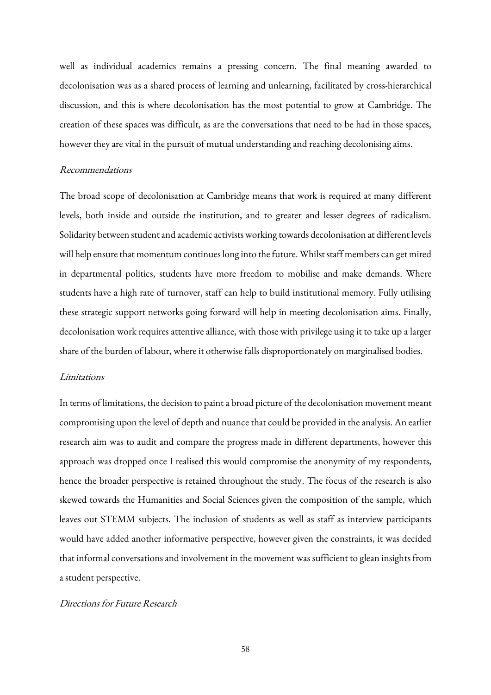well as individual academics remains a pressing concern. The final meaning awarded to decolonisation was as a shared process of learning and unlearning, facilitated by cross-hierarchical discussion, and this is where decolonisation has the most potential to grow at Cambridge. The creation of these spaces was difficult, as are the conversations that need to be had in those spaces, however they are vital in the pursuit of mutual understanding and reaching decolonising aims.

## Recommendations

The broad scope of decolonisation at Cambridge means that work is required at many different levels, both inside and outside the institution, and to greater and lesser degrees of radicalism. Solidarity between student and academic activists working towards decolonisation at different levels will help ensure that momentum continues long into the future. Whilst staff members can get mired in departmental politics, students have more freedom to mobilise and make demands. Where students have a high rate of turnover, staff can help to build institutional memory. Fully utilising these strategic support networks going forward will help in meeting decolonisation aims. Finally, decolonisation work requires attentive alliance, with those with privilege using it to take up a larger share of the burden of labour, where it otherwise falls disproportionately on marginalised bodies.

### Limitations

In terms of limitations, the decision to paint a broad picture of the decolonisation movement meant compromising upon the level of depth and nuance that could be provided in the analysis. An earlier research aim was to audit and compare the progress made in different departments, however this approach was dropped once I realised this would compromise the anonymity of my respondents, hence the broader perspective is retained throughout the study. The focus of the research is also skewed towards the Humanities and Social Sciences given the composition of the sample, which leaves out STEMM subjects. The inclusion of students as well as staff as interview participants would have added another informative perspective, however given the constraints, it was decided that informal conversations and involvement in the movement was sufficient to glean insights from a student perspective.

## Directions for Future Research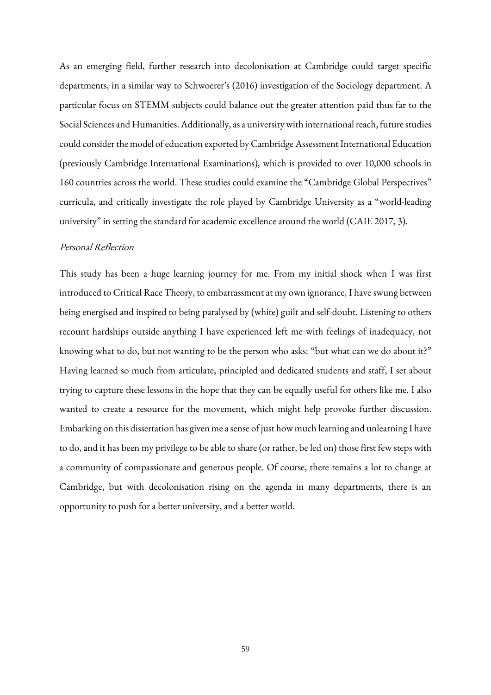As an emerging field, further research into decolonisation at Cambridge could target specific departments, in a similar way to Schwoerer's (2016) investigation of the Sociology department. A particular focus on STEMM subjects could balance out the greater attention paid thus far to the Social Sciences and Humanities. Additionally, as a university with international reach, future studies could consider the model of education exported by Cambridge Assessment International Education (previously Cambridge International Examinations), which is provided to over 10,000 schools in 160 countries across the world. These studies could examine the "Cambridge Global Perspectives" curricula, and critically investigate the role played by Cambridge University as a "world-leading university" in setting the standard for academic excellence around the world (CAIE 2017, 3).

## Personal Reflection

This study has been a huge learning journey for me. From my initial shock when I was first introduced to Critical Race Theory, to embarrassment at my own ignorance, I have swung between being energised and inspired to being paralysed by (white) guilt and self-doubt. Listening to others recount hardships outside anything I have experienced left me with feelings of inadequacy, not knowing what to do, but not wanting to be the person who asks: "but what can we do about it?" Having learned so much from articulate, principled and dedicated students and staff, I set about trying to capture these lessons in the hope that they can be equally useful for others like me. I also wanted to create a resource for the movement, which might help provoke further discussion. Embarking on this dissertation has given me a sense of just how much learning and unlearning I have to do, and it has been my privilege to be able to share (or rather, be led on) those first few steps with a community of compassionate and generous people. Of course, there remains a lot to change at Cambridge, but with decolonisation rising on the agenda in many departments, there is an opportunity to push for a better university, and a better world.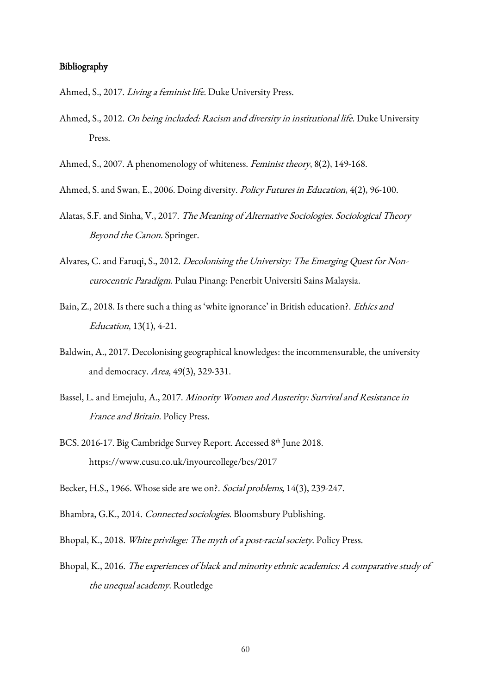## Bibliography

Ahmed, S., 2017. Living a feminist life. Duke University Press.

- Ahmed, S., 2012. On being included: Racism and diversity in institutional life. Duke University Press.
- Ahmed, S., 2007. A phenomenology of whiteness. Feminist theory, 8(2), 149-168.
- Ahmed, S. and Swan, E., 2006. Doing diversity. Policy Futures in Education, 4(2), 96-100.
- Alatas, S.F. and Sinha, V., 2017. The Meaning of Alternative Sociologies. Sociological Theory Beyond the Canon. Springer.
- Alvares, C. and Faruqi, S., 2012. Decolonising the University: The Emerging Quest for Noneurocentric Paradigm. Pulau Pinang: Penerbit Universiti Sains Malaysia.
- Bain, Z., 2018. Is there such a thing as 'white ignorance' in British education?. Ethics and Education, 13(1), 4-21.
- Baldwin, A., 2017. Decolonising geographical knowledges: the incommensurable, the university and democracy. Area, 49(3), 329-331.
- Bassel, L. and Emejulu, A., 2017. Minority Women and Austerity: Survival and Resistance in France and Britain. Policy Press.
- BCS. 2016-17. Big Cambridge Survey Report. Accessed 8th June 2018. https://www.cusu.co.uk/inyourcollege/bcs/2017
- Becker, H.S., 1966. Whose side are we on?. Social problems, 14(3), 239-247.
- Bhambra, G.K., 2014. Connected sociologies. Bloomsbury Publishing.
- Bhopal, K., 2018. White privilege: The myth of a post-racial society. Policy Press.
- Bhopal, K., 2016. The experiences of black and minority ethnic academics: A comparative study of the unequal academy. Routledge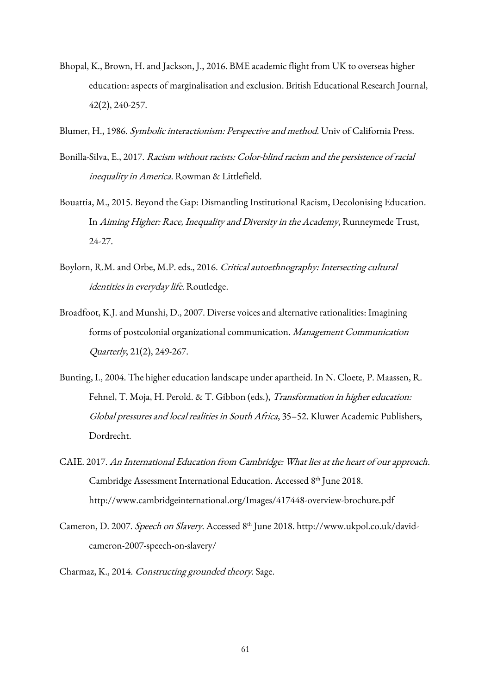- Bhopal, K., Brown, H. and Jackson, J., 2016. BME academic flight from UK to overseas higher education: aspects of marginalisation and exclusion. British Educational Research Journal, 42(2), 240-257.
- Blumer, H., 1986. Symbolic interactionism: Perspective and method. Univ of California Press.
- Bonilla-Silva, E., 2017. Racism without racists: Color-blind racism and the persistence of racial inequality in America. Rowman & Littlefield.
- Bouattia, M., 2015. Beyond the Gap: Dismantling Institutional Racism, Decolonising Education. In Aiming Higher: Race, Inequality and Diversity in the Academy, Runneymede Trust, 24-27.
- Boylorn, R.M. and Orbe, M.P. eds., 2016. Critical autoethnography: Intersecting cultural identities in everyday life. Routledge.
- Broadfoot, K.J. and Munshi, D., 2007. Diverse voices and alternative rationalities: Imagining forms of postcolonial organizational communication. Management Communication Quarterly, 21(2), 249-267.
- Bunting, I., 2004. The higher education landscape under apartheid. In N. Cloete, P. Maassen, R. Fehnel, T. Moja, H. Perold. & T. Gibbon (eds.), Transformation in higher education: Global pressures and local realities in South Africa, 35–52. Kluwer Academic Publishers, Dordrecht.
- CAIE. 2017. An International Education from Cambridge: What lies at the heart of our approach. Cambridge Assessment International Education. Accessed 8th June 2018. http://www.cambridgeinternational.org/Images/417448-overview-brochure.pdf
- Cameron, D. 2007. Speech on Slavery. Accessed 8th June 2018. http://www.ukpol.co.uk/davidcameron-2007-speech-on-slavery/
- Charmaz, K., 2014. Constructing grounded theory. Sage.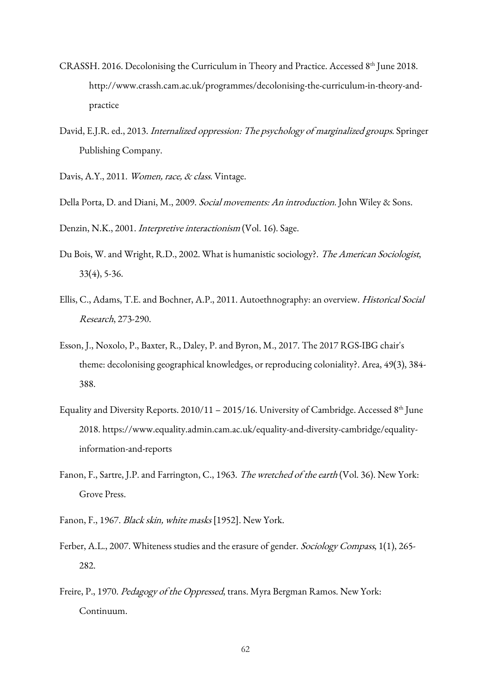- CRASSH. 2016. Decolonising the Curriculum in Theory and Practice. Accessed 8<sup>th</sup> June 2018. http://www.crassh.cam.ac.uk/programmes/decolonising-the-curriculum-in-theory-andpractice
- David, E.J.R. ed., 2013. Internalized oppression: The psychology of marginalized groups. Springer Publishing Company.
- Davis, A.Y., 2011. Women, race, & class. Vintage.
- Della Porta, D. and Diani, M., 2009. Social movements: An introduction. John Wiley & Sons.

Denzin, N.K., 2001. Interpretive interactionism (Vol. 16). Sage.

- Du Bois, W. and Wright, R.D., 2002. What is humanistic sociology?. The American Sociologist, 33(4), 5-36.
- Ellis, C., Adams, T.E. and Bochner, A.P., 2011. Autoethnography: an overview. Historical Social Research, 273-290.
- Esson, J., Noxolo, P., Baxter, R., Daley, P. and Byron, M., 2017. The 2017 RGS‐IBG chair's theme: decolonising geographical knowledges, or reproducing coloniality?. Area, 49(3), 384- 388.
- Equality and Diversity Reports. 2010/11 2015/16. University of Cambridge. Accessed 8th June 2018. https://www.equality.admin.cam.ac.uk/equality-and-diversity-cambridge/equalityinformation-and-reports
- Fanon, F., Sartre, J.P. and Farrington, C., 1963. The wretched of the earth (Vol. 36). New York: Grove Press.
- Fanon, F., 1967. Black skin, white masks [1952]. New York.
- Ferber, A.L., 2007. Whiteness studies and the erasure of gender. Sociology Compass, 1(1), 265-282.
- Freire, P., 1970. Pedagogy of the Oppressed, trans. Myra Bergman Ramos. New York: Continuum.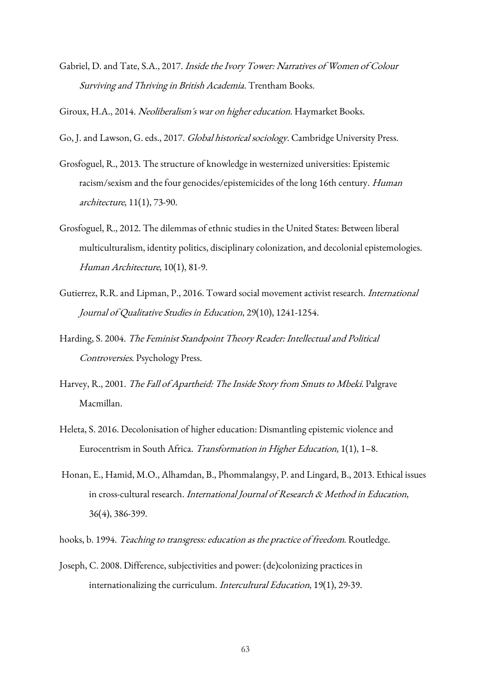Gabriel, D. and Tate, S.A., 2017. Inside the Ivory Tower: Narratives of Women of Colour Surviving and Thriving in British Academia. Trentham Books.

Giroux, H.A., 2014. Neoliberalism's war on higher education. Haymarket Books.

Go, J. and Lawson, G. eds., 2017. Global historical sociology. Cambridge University Press.

- Grosfoguel, R., 2013. The structure of knowledge in westernized universities: Epistemic racism/sexism and the four genocides/epistemicides of the long 16th century. Human architecture, 11(1), 73-90.
- Grosfoguel, R., 2012. The dilemmas of ethnic studies in the United States: Between liberal multiculturalism, identity politics, disciplinary colonization, and decolonial epistemologies. Human Architecture, 10(1), 81-9.
- Gutierrez, R.R. and Lipman, P., 2016. Toward social movement activist research. International Journal of Qualitative Studies in Education, 29(10), 1241-1254.
- Harding, S. 2004. The Feminist Standpoint Theory Reader: Intellectual and Political Controversies. Psychology Press.
- Harvey, R., 2001. The Fall of Apartheid: The Inside Story from Smuts to Mbeki. Palgrave Macmillan.
- Heleta, S. 2016. Decolonisation of higher education: Dismantling epistemic violence and Eurocentrism in South Africa. Transformation in Higher Education, 1(1), 1–8.
- Honan, E., Hamid, M.O., Alhamdan, B., Phommalangsy, P. and Lingard, B., 2013. Ethical issues in cross-cultural research. International Journal of Research & Method in Education, 36(4), 386-399.

hooks, b. 1994. Teaching to transgress: education as the practice of freedom. Routledge.

Joseph, C. 2008. Difference, subjectivities and power: (de)colonizing practices in internationalizing the curriculum. Intercultural Education, 19(1), 29-39.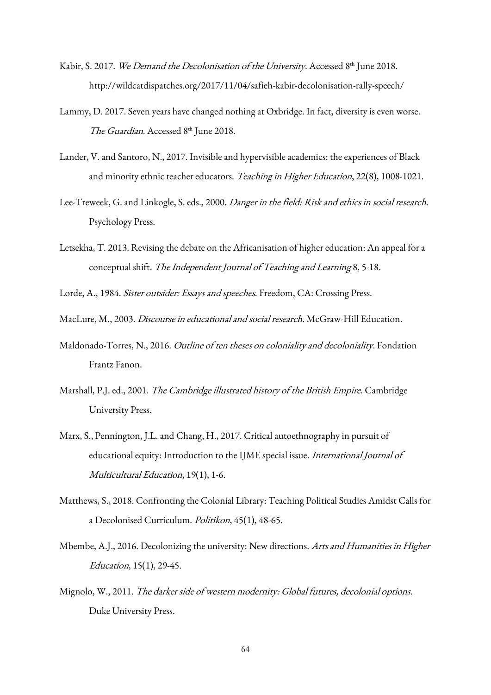- Kabir, S. 2017. *We Demand the Decolonisation of the University*. Accessed 8<sup>th</sup> June 2018. http://wildcatdispatches.org/2017/11/04/safieh-kabir-decolonisation-rally-speech/
- Lammy, D. 2017. Seven years have changed nothing at Oxbridge. In fact, diversity is even worse. The Guardian. Accessed 8th June 2018.
- Lander, V. and Santoro, N., 2017. Invisible and hypervisible academics: the experiences of Black and minority ethnic teacher educators. Teaching in Higher Education, 22(8), 1008-1021.
- Lee-Treweek, G. and Linkogle, S. eds., 2000. Danger in the field: Risk and ethics in social research. Psychology Press.
- Letsekha, T. 2013. Revising the debate on the Africanisation of higher education: An appeal for a conceptual shift. The Independent Journal of Teaching and Learning 8, 5-18.

Lorde, A., 1984. Sister outsider: Essays and speeches. Freedom, CA: Crossing Press.

MacLure, M., 2003. Discourse in educational and social research. McGraw-Hill Education.

- Maldonado-Torres, N., 2016. Outline of ten theses on coloniality and decoloniality. Fondation Frantz Fanon.
- Marshall, P.J. ed., 2001. The Cambridge illustrated history of the British Empire. Cambridge University Press.
- Marx, S., Pennington, J.L. and Chang, H., 2017. Critical autoethnography in pursuit of educational equity: Introduction to the IJME special issue. International Journal of Multicultural Education, 19(1), 1-6.
- Matthews, S., 2018. Confronting the Colonial Library: Teaching Political Studies Amidst Calls for a Decolonised Curriculum. Politikon, 45(1), 48-65.
- Mbembe, A.J., 2016. Decolonizing the university: New directions. Arts and Humanities in Higher Education, 15(1), 29-45.
- Mignolo, W., 2011. The darker side of western modernity: Global futures, decolonial options. Duke University Press.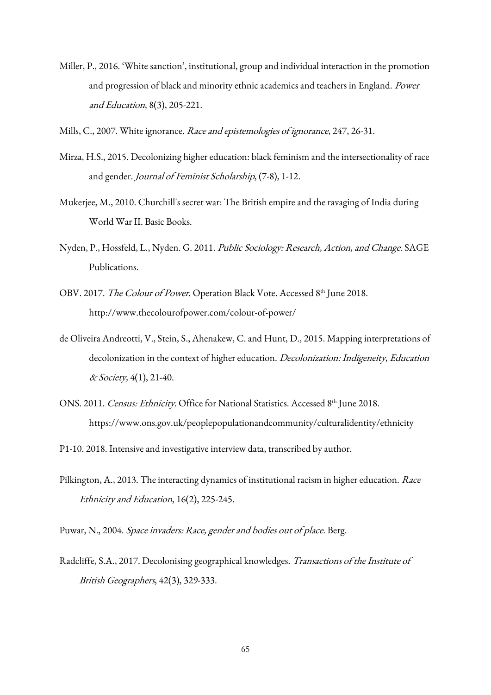- Miller, P., 2016. 'White sanction', institutional, group and individual interaction in the promotion and progression of black and minority ethnic academics and teachers in England. Power and Education, 8(3), 205-221.
- Mills, C., 2007. White ignorance. Race and epistemologies of ignorance, 247, 26-31.
- Mirza, H.S., 2015. Decolonizing higher education: black feminism and the intersectionality of race and gender. Journal of Feminist Scholarship, (7-8), 1-12.
- Mukerjee, M., 2010. Churchill's secret war: The British empire and the ravaging of India during World War II. Basic Books.
- Nyden, P., Hossfeld, L., Nyden. G. 2011. Public Sociology: Research, Action, and Change. SAGE Publications.
- OBV. 2017. The Colour of Power. Operation Black Vote. Accessed 8th June 2018. http://www.thecolourofpower.com/colour-of-power/
- de Oliveira Andreotti, V., Stein, S., Ahenakew, C. and Hunt, D., 2015. Mapping interpretations of decolonization in the context of higher education. Decolonization: Indigeneity, Education & Society, 4(1), 21-40.
- ONS. 2011. Census: Ethnicity. Office for National Statistics. Accessed 8th June 2018. https://www.ons.gov.uk/peoplepopulationandcommunity/culturalidentity/ethnicity
- P1-10. 2018. Intensive and investigative interview data, transcribed by author.
- Pilkington, A., 2013. The interacting dynamics of institutional racism in higher education. Race Ethnicity and Education, 16(2), 225-245.
- Puwar, N., 2004. Space invaders: Race, gender and bodies out of place. Berg.
- Radcliffe, S.A., 2017. Decolonising geographical knowledges. Transactions of the Institute of British Geographers, 42(3), 329-333.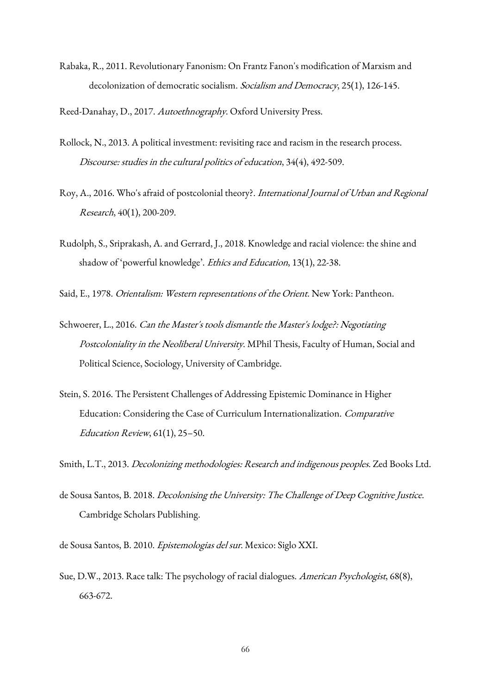Rabaka, R., 2011. Revolutionary Fanonism: On Frantz Fanon's modification of Marxism and decolonization of democratic socialism. Socialism and Democracy, 25(1), 126-145.

Reed-Danahay, D., 2017. Autoethnography. Oxford University Press.

- Rollock, N., 2013. A political investment: revisiting race and racism in the research process. Discourse: studies in the cultural politics of education, 34(4), 492-509.
- Roy, A., 2016. Who's afraid of postcolonial theory?. International Journal of Urban and Regional Research, 40(1), 200-209.
- Rudolph, S., Sriprakash, A. and Gerrard, J., 2018. Knowledge and racial violence: the shine and shadow of 'powerful knowledge'. Ethics and Education, 13(1), 22-38.

Said, E., 1978. Orientalism: Western representations of the Orient. New York: Pantheon.

- Schwoerer, L., 2016. *Can the Master's tools dismantle the Master's lodge?: Negotiating* Postcoloniality in the Neoliberal University. MPhil Thesis, Faculty of Human, Social and Political Science, Sociology, University of Cambridge.
- Stein, S. 2016. The Persistent Challenges of Addressing Epistemic Dominance in Higher Education: Considering the Case of Curriculum Internationalization. Comparative Education Review, 61(1), 25–50.

Smith, L.T., 2013. Decolonizing methodologies: Research and indigenous peoples. Zed Books Ltd.

de Sousa Santos, B. 2018. Decolonising the University: The Challenge of Deep Cognitive Justice. Cambridge Scholars Publishing.

de Sousa Santos, B. 2010. Epistemologias del sur. Mexico: Siglo XXI.

Sue, D.W., 2013. Race talk: The psychology of racial dialogues. American Psychologist, 68(8), 663-672.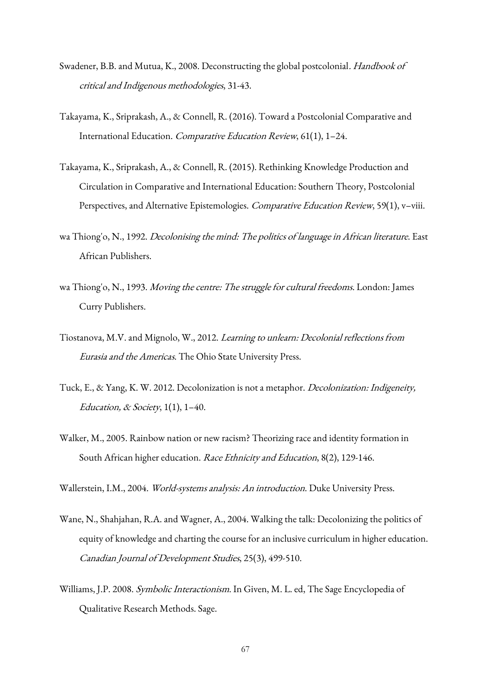- Swadener, B.B. and Mutua, K., 2008. Deconstructing the global postcolonial. Handbook of critical and Indigenous methodologies, 31-43.
- Takayama, K., Sriprakash, A., & Connell, R. (2016). Toward a Postcolonial Comparative and International Education. Comparative Education Review, 61(1), 1–24.
- Takayama, K., Sriprakash, A., & Connell, R. (2015). Rethinking Knowledge Production and Circulation in Comparative and International Education: Southern Theory, Postcolonial Perspectives, and Alternative Epistemologies. Comparative Education Review, 59(1), v-viii.
- wa Thiong'o, N., 1992. Decolonising the mind: The politics of language in African literature. East African Publishers.
- wa Thiong'o, N., 1993. Moving the centre: The struggle for cultural freedoms. London: James Curry Publishers.
- Tiostanova, M.V. and Mignolo, W., 2012. Learning to unlearn: Decolonial reflections from Eurasia and the Americas. The Ohio State University Press.
- Tuck, E., & Yang, K. W. 2012. Decolonization is not a metaphor. *Decolonization: Indigeneity,* Education, & Society,  $1(1)$ ,  $1-40$ .
- Walker, M., 2005. Rainbow nation or new racism? Theorizing race and identity formation in South African higher education. Race Ethnicity and Education, 8(2), 129-146.
- Wallerstein, I.M., 2004. World-systems analysis: An introduction. Duke University Press.
- Wane, N., Shahjahan, R.A. and Wagner, A., 2004. Walking the talk: Decolonizing the politics of equity of knowledge and charting the course for an inclusive curriculum in higher education. Canadian Journal of Development Studies, 25(3), 499-510.
- Williams, J.P. 2008. Symbolic Interactionism. In Given, M. L. ed, The Sage Encyclopedia of Qualitative Research Methods. Sage.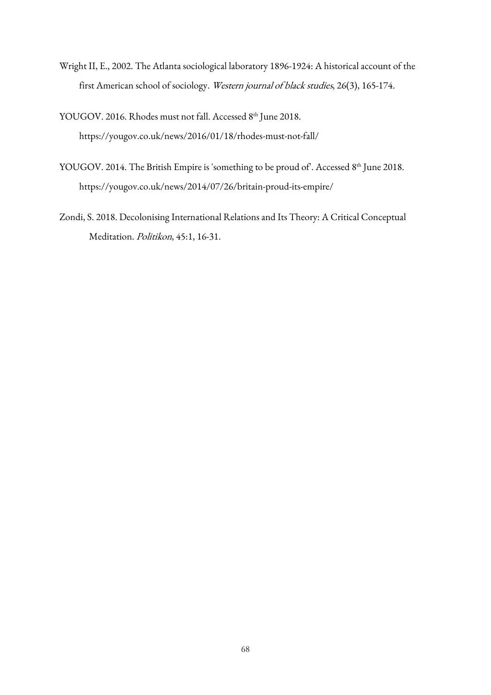- Wright II, E., 2002. The Atlanta sociological laboratory 1896-1924: A historical account of the first American school of sociology. Western journal of black studies, 26(3), 165-174.
- YOUGOV. 2016. Rhodes must not fall. Accessed 8th June 2018. https://yougov.co.uk/news/2016/01/18/rhodes-must-not-fall/
- YOUGOV. 2014. The British Empire is 'something to be proud of'. Accessed 8<sup>th</sup> June 2018. https://yougov.co.uk/news/2014/07/26/britain-proud-its-empire/
- Zondi, S. 2018. Decolonising International Relations and Its Theory: A Critical Conceptual Meditation. Politikon, 45:1, 16-31.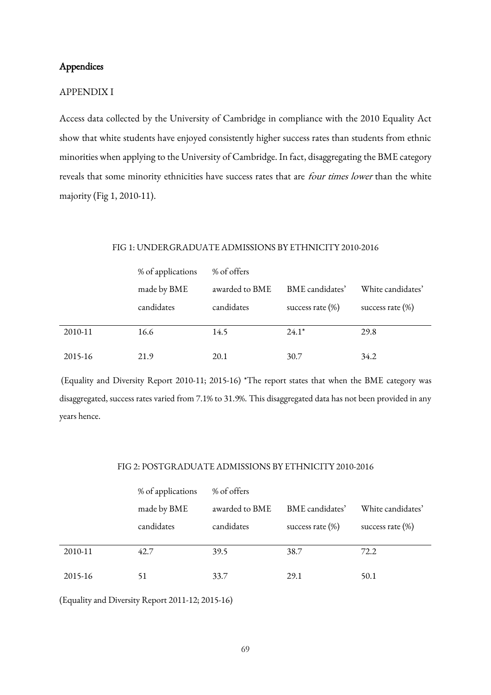# Appendices

#### APPENDIX I

Access data collected by the University of Cambridge in compliance with the 2010 Equality Act show that white students have enjoyed consistently higher success rates than students from ethnic minorities when applying to the University of Cambridge. In fact, disaggregating the BME category reveals that some minority ethnicities have success rates that are four times lower than the white majority (Fig 1, 2010-11).

#### FIG 1: UNDERGRADUATE ADMISSIONS BY ETHNICITY 2010-2016

|         | % of applications | % of offers    |                     |                     |  |
|---------|-------------------|----------------|---------------------|---------------------|--|
|         | made by BME       | awarded to BME | BME candidates'     | White candidates'   |  |
|         | candidates        | candidates     | success rate $(\%)$ | success rate $(\%)$ |  |
| 2010-11 | 16.6              | 14.5           | $24.1*$             | 29.8                |  |
| 2015-16 | 21.9              | 20.1           | 30.7                | 34.2                |  |

(Equality and Diversity Report 2010-11; 2015-16) \*The report states that when the BME category was disaggregated, success rates varied from 7.1% to 31.9%. This disaggregated data has not been provided in any years hence.

# FIG 2: POSTGRADUATE ADMISSIONS BY ETHNICITY 2010-2016

|         | % of applications | % of offers    |                     |                     |  |
|---------|-------------------|----------------|---------------------|---------------------|--|
|         | made by BME       | awarded to BME | BME candidates'     | White candidates'   |  |
|         | candidates        | candidates     | success rate $(\%)$ | success rate $(\%)$ |  |
| 2010-11 | 42.7              | 39.5           | 38.7                | 72.2                |  |
| 2015-16 | 51                | 33.7           | 29.1                | 50.1                |  |

(Equality and Diversity Report 2011-12; 2015-16)